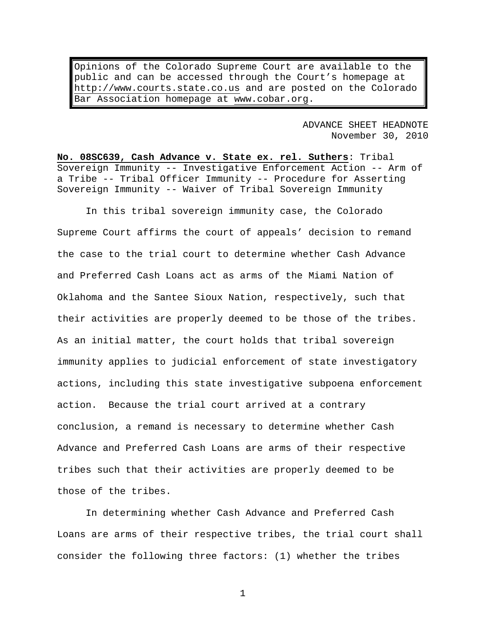Opinions of the Colorado Supreme Court are available to the public and can be accessed through the Court's homepage at [http://www.courts.state.co.us](http://www.courts.state.co.us/) and are posted on the Colorado Bar Association homepage at [www.cobar.org.](http://www.cobar.org/)

> ADVANCE SHEET HEADNOTE November 30, 2010

**No. 08SC639, Cash Advance v. State ex. rel. Suthers**: Tribal Sovereign Immunity -- Investigative Enforcement Action -- Arm of a Tribe -- Tribal Officer Immunity -- Procedure for Asserting Sovereign Immunity -- Waiver of Tribal Sovereign Immunity

 In this tribal sovereign immunity case, the Colorado Supreme Court affirms the court of appeals' decision to remand the case to the trial court to determine whether Cash Advance and Preferred Cash Loans act as arms of the Miami Nation of Oklahoma and the Santee Sioux Nation, respectively, such that their activities are properly deemed to be those of the tribes. As an initial matter, the court holds that tribal sovereign immunity applies to judicial enforcement of state investigatory actions, including this state investigative subpoena enforcement action. Because the trial court arrived at a contrary conclusion, a remand is necessary to determine whether Cash Advance and Preferred Cash Loans are arms of their respective tribes such that their activities are properly deemed to be those of the tribes.

In determining whether Cash Advance and Preferred Cash Loans are arms of their respective tribes, the trial court shall consider the following three factors: (1) whether the tribes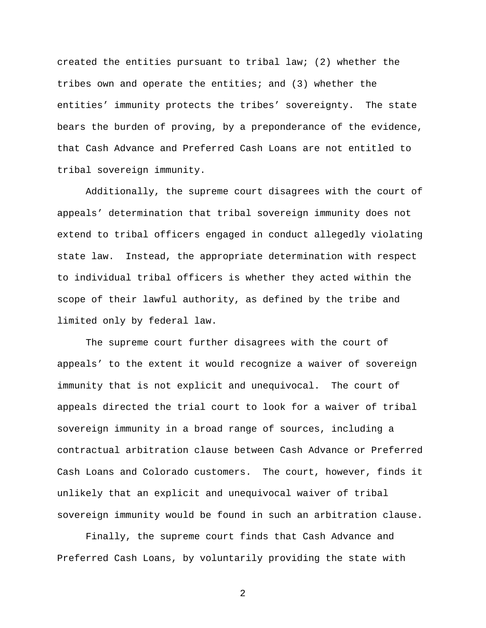created the entities pursuant to tribal law; (2) whether the tribes own and operate the entities; and (3) whether the entities' immunity protects the tribes' sovereignty. The state bears the burden of proving, by a preponderance of the evidence, that Cash Advance and Preferred Cash Loans are not entitled to tribal sovereign immunity.

 Additionally, the supreme court disagrees with the court of appeals' determination that tribal sovereign immunity does not extend to tribal officers engaged in conduct allegedly violating state law. Instead, the appropriate determination with respect to individual tribal officers is whether they acted within the scope of their lawful authority, as defined by the tribe and limited only by federal law.

 The supreme court further disagrees with the court of appeals' to the extent it would recognize a waiver of sovereign immunity that is not explicit and unequivocal. The court of appeals directed the trial court to look for a waiver of tribal sovereign immunity in a broad range of sources, including a contractual arbitration clause between Cash Advance or Preferred Cash Loans and Colorado customers. The court, however, finds it unlikely that an explicit and unequivocal waiver of tribal sovereign immunity would be found in such an arbitration clause.

 Finally, the supreme court finds that Cash Advance and Preferred Cash Loans, by voluntarily providing the state with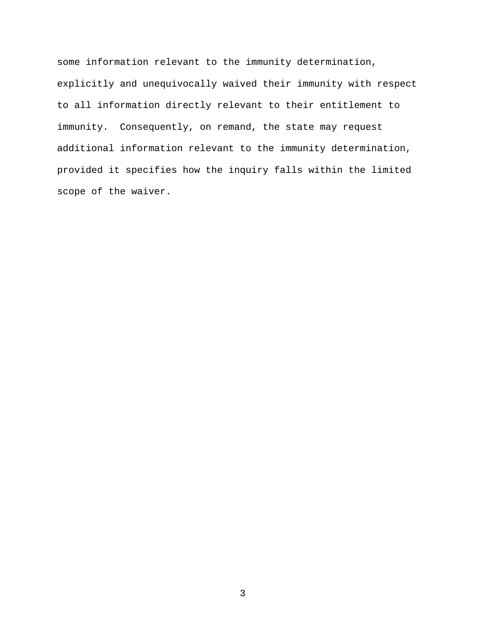some information relevant to the immunity determination, explicitly and unequivocally waived their immunity with respect to all information directly relevant to their entitlement to immunity. Consequently, on remand, the state may request additional information relevant to the immunity determination, provided it specifies how the inquiry falls within the limited scope of the waiver.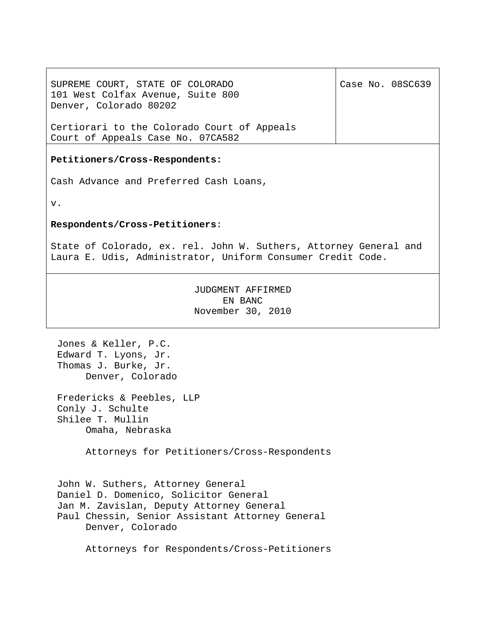| SUPREME COURT, STATE OF COLORADO<br>101 West Colfax Avenue, Suite 800<br>Denver, Colorado 80202                                  | Case No. 08SC639 |  |
|----------------------------------------------------------------------------------------------------------------------------------|------------------|--|
| Certiorari to the Colorado Court of Appeals<br>Court of Appeals Case No. 07CA582                                                 |                  |  |
| Petitioners/Cross-Respondents:                                                                                                   |                  |  |
| Cash Advance and Preferred Cash Loans,                                                                                           |                  |  |
| v.                                                                                                                               |                  |  |
| Respondents/Cross-Petitioners:                                                                                                   |                  |  |
| State of Colorado, ex. rel. John W. Suthers, Attorney General and<br>Laura E. Udis, Administrator, Uniform Consumer Credit Code. |                  |  |
| JUDGMENT AFFIRMED<br>EN BANC<br>November 30, 2010                                                                                |                  |  |

Jones & Keller, P.C. Edward T. Lyons, Jr. Thomas J. Burke, Jr. Denver, Colorado

Fredericks & Peebles, LLP Conly J. Schulte Shilee T. Mullin Omaha, Nebraska

Attorneys for Petitioners/Cross-Respondents

John W. Suthers, Attorney General Daniel D. Domenico, Solicitor General Jan M. Zavislan, Deputy Attorney General Paul Chessin, Senior Assistant Attorney General Denver, Colorado

Attorneys for Respondents/Cross-Petitioners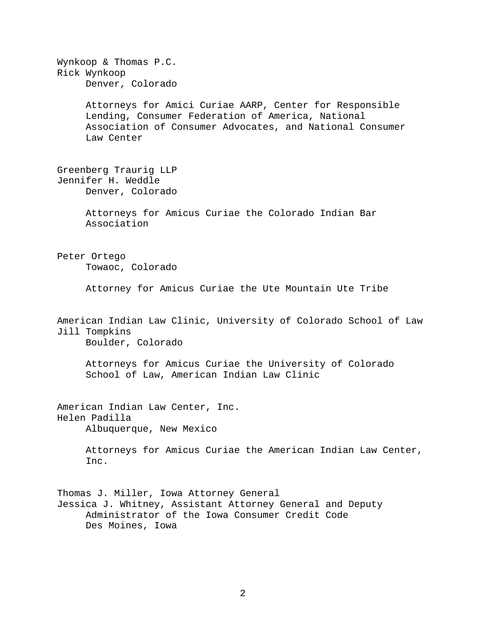Wynkoop & Thomas P.C. Rick Wynkoop Denver, Colorado Attorneys for Amici Curiae AARP, Center for Responsible Lending, Consumer Federation of America, National Association of Consumer Advocates, and National Consumer Law Center Greenberg Traurig LLP Jennifer H. Weddle Denver, Colorado Attorneys for Amicus Curiae the Colorado Indian Bar Association Peter Ortego Towaoc, Colorado Attorney for Amicus Curiae the Ute Mountain Ute Tribe American Indian Law Clinic, University of Colorado School of Law Jill Tompkins Boulder, Colorado Attorneys for Amicus Curiae the University of Colorado School of Law, American Indian Law Clinic American Indian Law Center, Inc. Helen Padilla Albuquerque, New Mexico Attorneys for Amicus Curiae the American Indian Law Center, Inc. Thomas J. Miller, Iowa Attorney General Jessica J. Whitney, Assistant Attorney General and Deputy Administrator of the Iowa Consumer Credit Code Des Moines, Iowa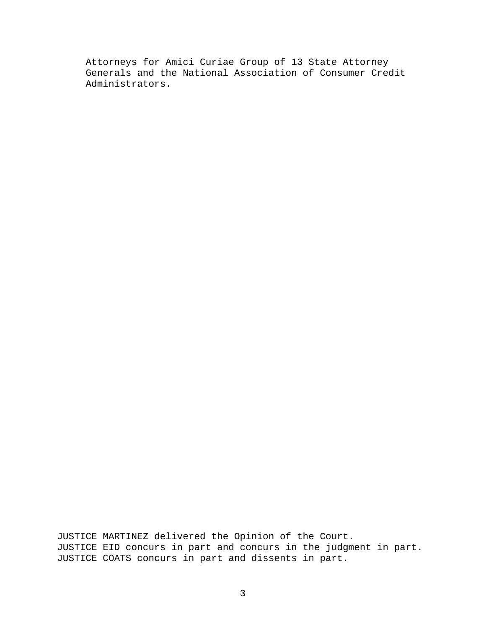Attorneys for Amici Curiae Group of 13 State Attorney Generals and the National Association of Consumer Credit Administrators.

JUSTICE MARTINEZ delivered the Opinion of the Court. JUSTICE EID concurs in part and concurs in the judgment in part. JUSTICE COATS concurs in part and dissents in part.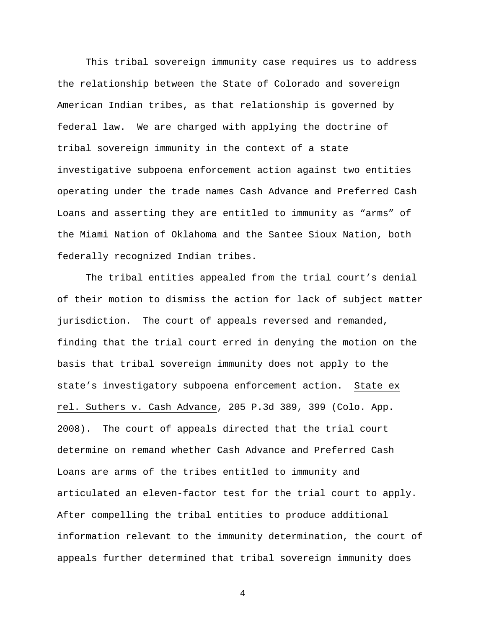This tribal sovereign immunity case requires us to address the relationship between the State of Colorado and sovereign American Indian tribes, as that relationship is governed by federal law. We are charged with applying the doctrine of tribal sovereign immunity in the context of a state investigative subpoena enforcement action against two entities operating under the trade names Cash Advance and Preferred Cash Loans and asserting they are entitled to immunity as "arms" of the Miami Nation of Oklahoma and the Santee Sioux Nation, both federally recognized Indian tribes.

The tribal entities appealed from the trial court's denial of their motion to dismiss the action for lack of subject matter jurisdiction. The court of appeals reversed and remanded, finding that the trial court erred in denying the motion on the basis that tribal sovereign immunity does not apply to the state's investigatory subpoena enforcement action. State ex rel. Suthers v. Cash Advance, 205 P.3d 389, 399 (Colo. App. 2008). The court of appeals directed that the trial court determine on remand whether Cash Advance and Preferred Cash Loans are arms of the tribes entitled to immunity and articulated an eleven-factor test for the trial court to apply. After compelling the tribal entities to produce additional information relevant to the immunity determination, the court of appeals further determined that tribal sovereign immunity does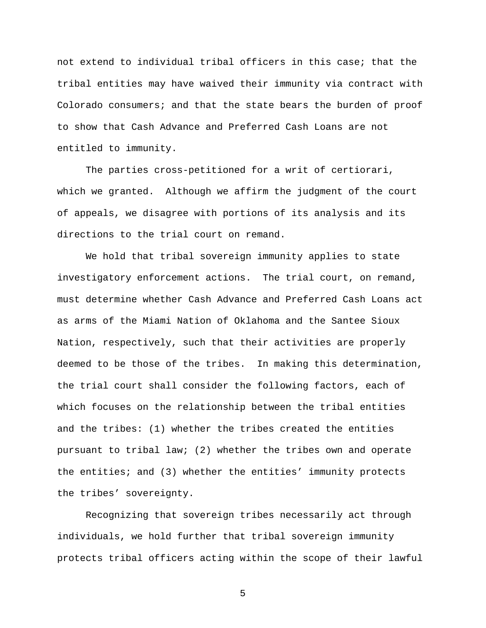not extend to individual tribal officers in this case; that the tribal entities may have waived their immunity via contract with Colorado consumers; and that the state bears the burden of proof to show that Cash Advance and Preferred Cash Loans are not entitled to immunity.

The parties cross-petitioned for a writ of certiorari, which we granted. Although we affirm the judgment of the court of appeals, we disagree with portions of its analysis and its directions to the trial court on remand.

We hold that tribal sovereign immunity applies to state investigatory enforcement actions. The trial court, on remand, must determine whether Cash Advance and Preferred Cash Loans act as arms of the Miami Nation of Oklahoma and the Santee Sioux Nation, respectively, such that their activities are properly deemed to be those of the tribes. In making this determination, the trial court shall consider the following factors, each of which focuses on the relationship between the tribal entities and the tribes: (1) whether the tribes created the entities pursuant to tribal law; (2) whether the tribes own and operate the entities; and (3) whether the entities' immunity protects the tribes' sovereignty.

Recognizing that sovereign tribes necessarily act through individuals, we hold further that tribal sovereign immunity protects tribal officers acting within the scope of their lawful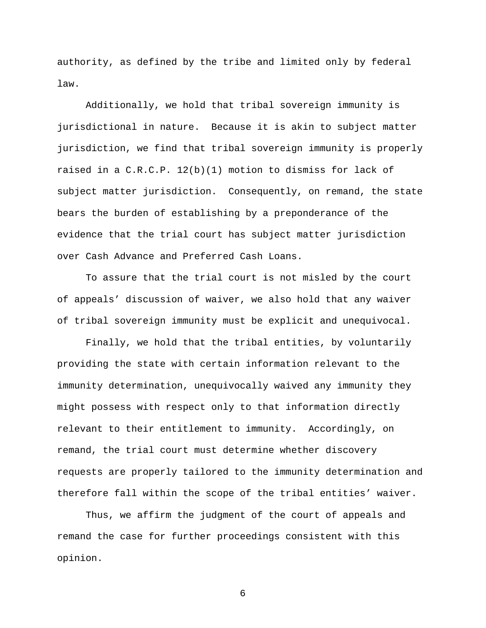authority, as defined by the tribe and limited only by federal law.

Additionally, we hold that tribal sovereign immunity is jurisdictional in nature. Because it is akin to subject matter jurisdiction, we find that tribal sovereign immunity is properly raised in a C.R.C.P. 12(b)(1) motion to dismiss for lack of subject matter jurisdiction. Consequently, on remand, the state bears the burden of establishing by a preponderance of the evidence that the trial court has subject matter jurisdiction over Cash Advance and Preferred Cash Loans.

To assure that the trial court is not misled by the court of appeals' discussion of waiver, we also hold that any waiver of tribal sovereign immunity must be explicit and unequivocal.

Finally, we hold that the tribal entities, by voluntarily providing the state with certain information relevant to the immunity determination, unequivocally waived any immunity they might possess with respect only to that information directly relevant to their entitlement to immunity. Accordingly, on remand, the trial court must determine whether discovery requests are properly tailored to the immunity determination and therefore fall within the scope of the tribal entities' waiver.

Thus, we affirm the judgment of the court of appeals and remand the case for further proceedings consistent with this opinion.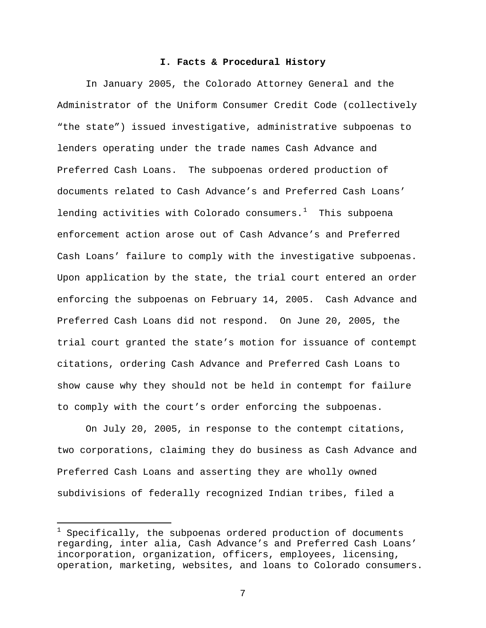### **I. Facts & Procedural History**

In January 2005, the Colorado Attorney General and the Administrator of the Uniform Consumer Credit Code (collectively "the state") issued investigative, administrative subpoenas to lenders operating under the trade names Cash Advance and Preferred Cash Loans. The subpoenas ordered production of documents related to Cash Advance's and Preferred Cash Loans' lending activities with Colorado consumers. $1$  This subpoena enforcement action arose out of Cash Advance's and Preferred Cash Loans' failure to comply with the investigative subpoenas. Upon application by the state, the trial court entered an order enforcing the subpoenas on February 14, 2005. Cash Advance and Preferred Cash Loans did not respond. On June 20, 2005, the trial court granted the state's motion for issuance of contempt citations, ordering Cash Advance and Preferred Cash Loans to show cause why they should not be held in contempt for failure to comply with the court's order enforcing the subpoenas.

On July 20, 2005, in response to the contempt citations, two corporations, claiming they do business as Cash Advance and Preferred Cash Loans and asserting they are wholly owned subdivisions of federally recognized Indian tribes, filed a

 $\overline{\phantom{0}}$ 

<span id="page-9-0"></span> $^1$  Specifically, the subpoenas ordered production of documents regarding, inter alia, Cash Advance's and Preferred Cash Loans' incorporation, organization, officers, employees, licensing, operation, marketing, websites, and loans to Colorado consumers.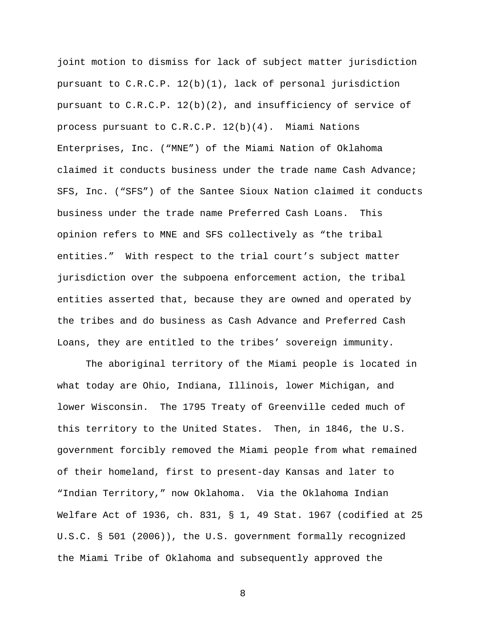joint motion to dismiss for lack of subject matter jurisdiction pursuant to C.R.C.P. 12(b)(1), lack of personal jurisdiction pursuant to C.R.C.P. 12(b)(2), and insufficiency of service of process pursuant to C.R.C.P. 12(b)(4). Miami Nations Enterprises, Inc. ("MNE") of the Miami Nation of Oklahoma claimed it conducts business under the trade name Cash Advance; SFS, Inc. ("SFS") of the Santee Sioux Nation claimed it conducts business under the trade name Preferred Cash Loans. This opinion refers to MNE and SFS collectively as "the tribal entities." With respect to the trial court's subject matter jurisdiction over the subpoena enforcement action, the tribal entities asserted that, because they are owned and operated by the tribes and do business as Cash Advance and Preferred Cash Loans, they are entitled to the tribes' sovereign immunity.

The aboriginal territory of the Miami people is located in what today are Ohio, Indiana, Illinois, lower Michigan, and lower Wisconsin. The 1795 Treaty of Greenville ceded much of this territory to the United States. Then, in 1846, the U.S. government forcibly removed the Miami people from what remained of their homeland, first to present-day Kansas and later to "Indian Territory," now Oklahoma. Via the Oklahoma Indian Welfare Act of 1936, ch. 831, § 1, 49 Stat. 1967 (codified at 25 U.S.C. § 501 (2006)), the U.S. government formally recognized the Miami Tribe of Oklahoma and subsequently approved the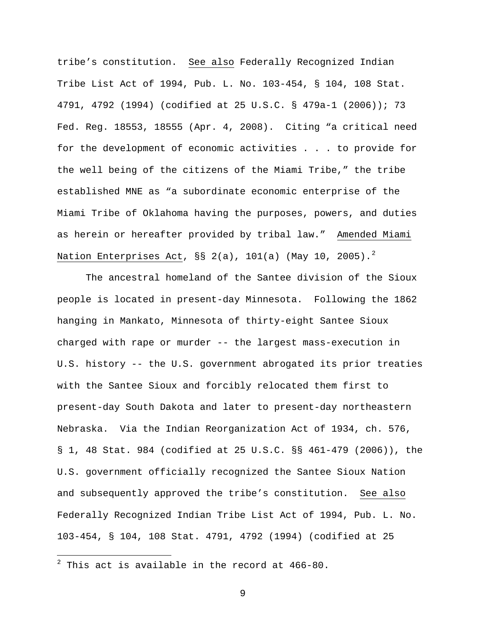tribe's constitution. See also Federally Recognized Indian Tribe List Act of 1994, Pub. L. No. 103-454, § 104, 108 Stat. 4791, 4792 (1994) (codified at 25 U.S.C. § 479a-1 (2006)); 73 Fed. Reg. 18553, 18555 (Apr. 4, 2008). Citing "a critical need for the development of economic activities . . . to provide for the well being of the citizens of the Miami Tribe," the tribe established MNE as "a subordinate economic enterprise of the Miami Tribe of Oklahoma having the purposes, powers, and duties as herein or hereafter provided by tribal law." Amended Miami Nation Enterprises Act, §§ [2](#page-11-0)(a), 101(a) (May 10, 2005).<sup>2</sup>

The ancestral homeland of the Santee division of the Sioux people is located in present-day Minnesota. Following the 1862 hanging in Mankato, Minnesota of thirty-eight Santee Sioux charged with rape or murder -- the largest mass-execution in U.S. history -- the U.S. government abrogated its prior treaties with the Santee Sioux and forcibly relocated them first to present-day South Dakota and later to present-day northeastern Nebraska. Via the Indian Reorganization Act of 1934, ch. 576, § 1, 48 Stat. 984 (codified at 25 U.S.C. §§ 461-479 (2006)), the U.S. government officially recognized the Santee Sioux Nation and subsequently approved the tribe's constitution. See also Federally Recognized Indian Tribe List Act of 1994, Pub. L. No. 103-454, § 104, 108 Stat. 4791, 4792 (1994) (codified at 25

i<br>Li

<span id="page-11-0"></span> $^2$  This act is available in the record at 466-80.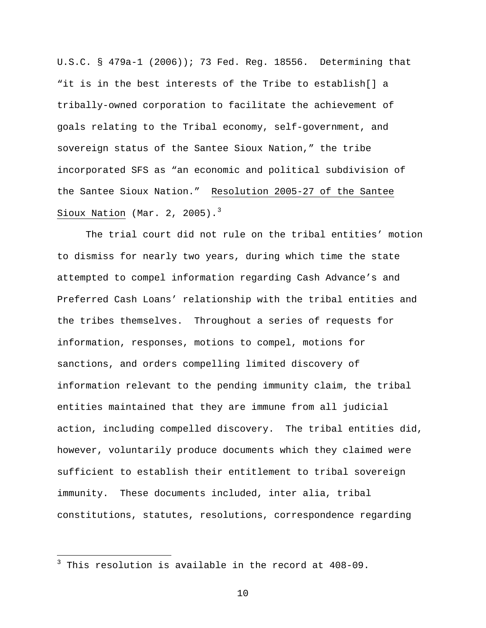U.S.C. § 479a-1 (2006)); 73 Fed. Reg. 18556. Determining that "it is in the best interests of the Tribe to establish[] a tribally-owned corporation to facilitate the achievement of goals relating to the Tribal economy, self-government, and sovereign status of the Santee Sioux Nation," the tribe incorporated SFS as "an economic and political subdivision of the Santee Sioux Nation." Resolution 2005-27 of the Santee Sioux Nation (Mar. 2, 2005). $3$ 

The trial court did not rule on the tribal entities' motion to dismiss for nearly two years, during which time the state attempted to compel information regarding Cash Advance's and Preferred Cash Loans' relationship with the tribal entities and the tribes themselves. Throughout a series of requests for information, responses, motions to compel, motions for sanctions, and orders compelling limited discovery of information relevant to the pending immunity claim, the tribal entities maintained that they are immune from all judicial action, including compelled discovery. The tribal entities did, however, voluntarily produce documents which they claimed were sufficient to establish their entitlement to tribal sovereign immunity. These documents included, inter alia, tribal constitutions, statutes, resolutions, correspondence regarding

<span id="page-12-0"></span> 3 This resolution is available in the record at 408-09.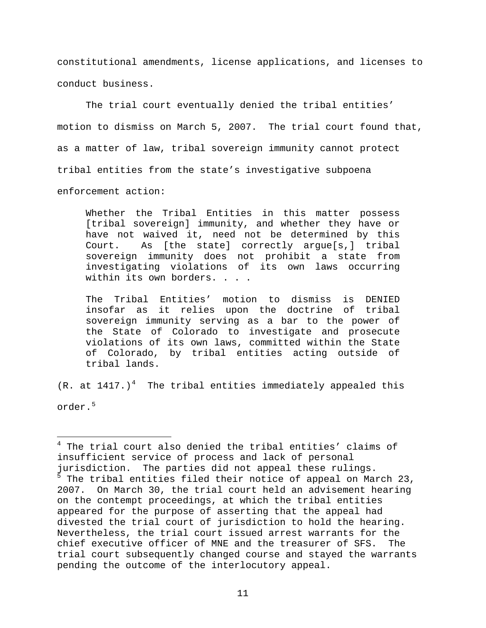constitutional amendments, license applications, and licenses to conduct business.

The trial court eventually denied the tribal entities' motion to dismiss on March 5, 2007. The trial court found that, as a matter of law, tribal sovereign immunity cannot protect tribal entities from the state's investigative subpoena enforcement action:

Whether the Tribal Entities in this matter possess [tribal sovereign] immunity, and whether they have or have not waived it, need not be determined by this Court. As [the state] correctly argue[s,] tribal sovereign immunity does not prohibit a state from investigating violations of its own laws occurring within its own borders. . . .

The Tribal Entities' motion to dismiss is DENIED insofar as it relies upon the doctrine of tribal sovereign immunity serving as a bar to the power of the State of Colorado to investigate and prosecute violations of its own laws, committed within the State of Colorado, by tribal entities acting outside of tribal lands.

(R. at  $1417.$  $1417.$  $1417.$ )<sup>4</sup> The tribal entities immediately appealed this order.<sup>[5](#page-13-1)</sup>

i

<span id="page-13-1"></span><span id="page-13-0"></span><sup>&</sup>lt;sup>4</sup> The trial court also denied the tribal entities' claims of insufficient service of process and lack of personal jurisdiction. The parties did not appeal these rulings. <sup>5</sup> The tribal entities filed their notice of appeal on March 23, 2007. On March 30, the trial court held an advisement hearing on the contempt proceedings, at which the tribal entities appeared for the purpose of asserting that the appeal had divested the trial court of jurisdiction to hold the hearing. Nevertheless, the trial court issued arrest warrants for the chief executive officer of MNE and the treasurer of SFS. The trial court subsequently changed course and stayed the warrants pending the outcome of the interlocutory appeal.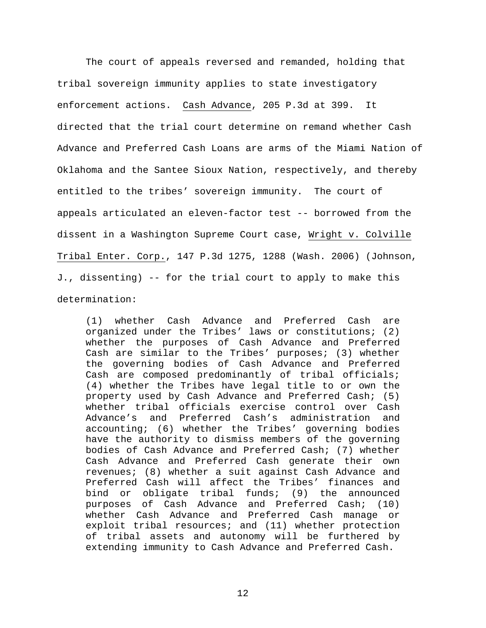The court of appeals reversed and remanded, holding that tribal sovereign immunity applies to state investigatory enforcement actions. Cash Advance, 205 P.3d at 399. It directed that the trial court determine on remand whether Cash Advance and Preferred Cash Loans are arms of the Miami Nation of Oklahoma and the Santee Sioux Nation, respectively, and thereby entitled to the tribes' sovereign immunity. The court of appeals articulated an eleven-factor test -- borrowed from the dissent in a Washington Supreme Court case, Wright v. Colville Tribal Enter. Corp., 147 P.3d 1275, 1288 (Wash. 2006) (Johnson, J., dissenting) -- for the trial court to apply to make this determination:

(1) whether Cash Advance and Preferred Cash are organized under the Tribes' laws or constitutions; (2) whether the purposes of Cash Advance and Preferred Cash are similar to the Tribes' purposes; (3) whether the governing bodies of Cash Advance and Preferred Cash are composed predominantly of tribal officials; (4) whether the Tribes have legal title to or own the property used by Cash Advance and Preferred Cash; (5) whether tribal officials exercise control over Cash Advance's and Preferred Cash's administration and accounting; (6) whether the Tribes' governing bodies have the authority to dismiss members of the governing bodies of Cash Advance and Preferred Cash; (7) whether Cash Advance and Preferred Cash generate their own revenues; (8) whether a suit against Cash Advance and Preferred Cash will affect the Tribes' finances and bind or obligate tribal funds; (9) the announced purposes of Cash Advance and Preferred Cash; (10) whether Cash Advance and Preferred Cash manage or exploit tribal resources; and (11) whether protection of tribal assets and autonomy will be furthered by extending immunity to Cash Advance and Preferred Cash.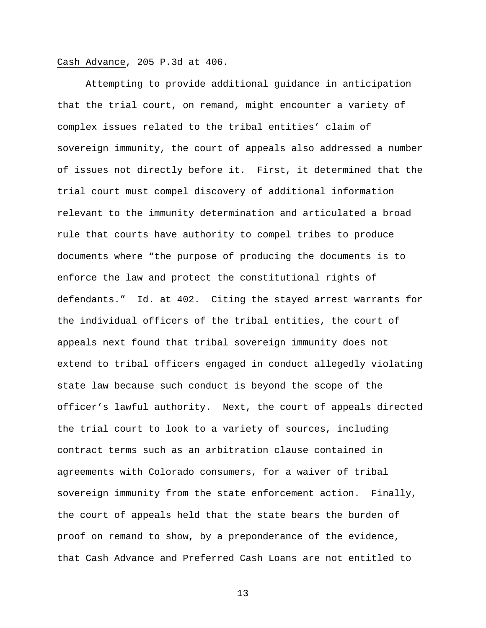#### Cash Advance, 205 P.3d at 406.

Attempting to provide additional guidance in anticipation that the trial court, on remand, might encounter a variety of complex issues related to the tribal entities' claim of sovereign immunity, the court of appeals also addressed a number of issues not directly before it. First, it determined that the trial court must compel discovery of additional information relevant to the immunity determination and articulated a broad rule that courts have authority to compel tribes to produce documents where "the purpose of producing the documents is to enforce the law and protect the constitutional rights of defendants." Id. at 402. Citing the stayed arrest warrants for the individual officers of the tribal entities, the court of appeals next found that tribal sovereign immunity does not extend to tribal officers engaged in conduct allegedly violating state law because such conduct is beyond the scope of the officer's lawful authority. Next, the court of appeals directed the trial court to look to a variety of sources, including contract terms such as an arbitration clause contained in agreements with Colorado consumers, for a waiver of tribal sovereign immunity from the state enforcement action. Finally, the court of appeals held that the state bears the burden of proof on remand to show, by a preponderance of the evidence, that Cash Advance and Preferred Cash Loans are not entitled to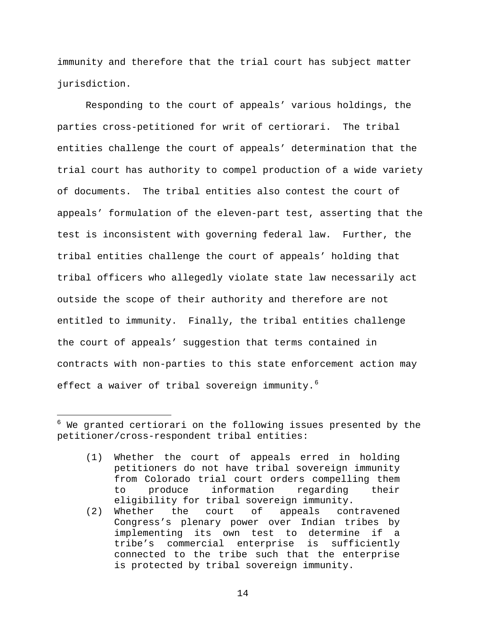immunity and therefore that the trial court has subject matter jurisdiction.

Responding to the court of appeals' various holdings, the parties cross-petitioned for writ of certiorari. The tribal entities challenge the court of appeals' determination that the trial court has authority to compel production of a wide variety of documents. The tribal entities also contest the court of appeals' formulation of the eleven-part test, asserting that the test is inconsistent with governing federal law. Further, the tribal entities challenge the court of appeals' holding that tribal officers who allegedly violate state law necessarily act outside the scope of their authority and therefore are not entitled to immunity. Finally, the tribal entities challenge the court of appeals' suggestion that terms contained in contracts with non-parties to this state enforcement action may effect a waiver of tribal sovereign immunity.<sup>[6](#page-16-0)</sup>

 $\overline{\phantom{0}}$ 

<span id="page-16-0"></span> $^6$  We granted certiorari on the following issues presented by the petitioner/cross-respondent tribal entities:

<sup>(1)</sup> Whether the court of appeals erred in holding petitioners do not have tribal sovereign immunity from Colorado trial court orders compelling them to produce information regarding their eligibility for tribal sovereign immunity.

<sup>(2)</sup> Whether the court of appeals contravened Congress's plenary power over Indian tribes by implementing its own test to determine if a tribe's commercial enterprise is sufficiently connected to the tribe such that the enterprise is protected by tribal sovereign immunity.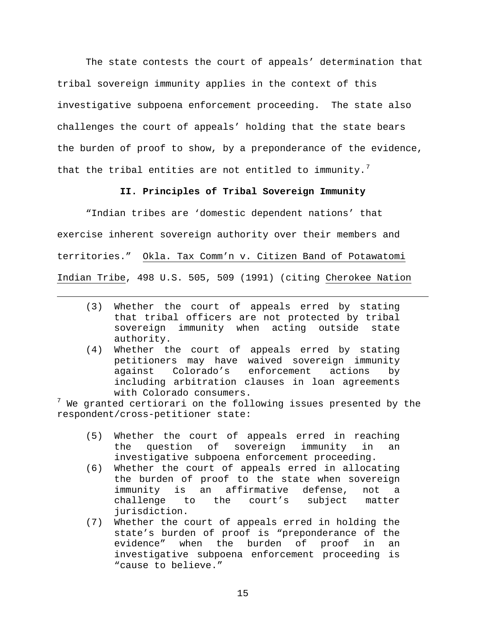The state contests the court of appeals' determination that tribal sovereign immunity applies in the context of this investigative subpoena enforcement proceeding. The state also challenges the court of appeals' holding that the state bears the burden of proof to show, by a preponderance of the evidence, that the tribal entities are not entitled to immunity.<sup>[7](#page-17-0)</sup>

# **II. Principles of Tribal Sovereign Immunity**

"Indian tribes are 'domestic dependent nations' that exercise inherent sovereign authority over their members and territories." Okla. Tax Comm'n v. Citizen Band of Potawatomi Indian Tribe, 498 U.S. 505, 509 (1991) (citing Cherokee Nation

i<br>Li

- (3) Whether the court of appeals erred by stating that tribal officers are not protected by tribal sovereign immunity when acting outside state authority.
- (4) Whether the court of appeals erred by stating petitioners may have waived sovereign immunity against Colorado's enforcement actions by including arbitration clauses in loan agreements with Colorado consumers.

<span id="page-17-0"></span> $^7$  We granted certiorari on the following issues presented by the respondent/cross-petitioner state:

- (5) Whether the court of appeals erred in reaching the question of sovereign immunity in an investigative subpoena enforcement proceeding.
- (6) Whether the court of appeals erred in allocating the burden of proof to the state when sovereign immunity is an affirmative defense, not a challenge to the court's subject matter jurisdiction.
- (7) Whether the court of appeals erred in holding the state's burden of proof is "preponderance of the evidence" when the burden of proof in an investigative subpoena enforcement proceeding is "cause to believe."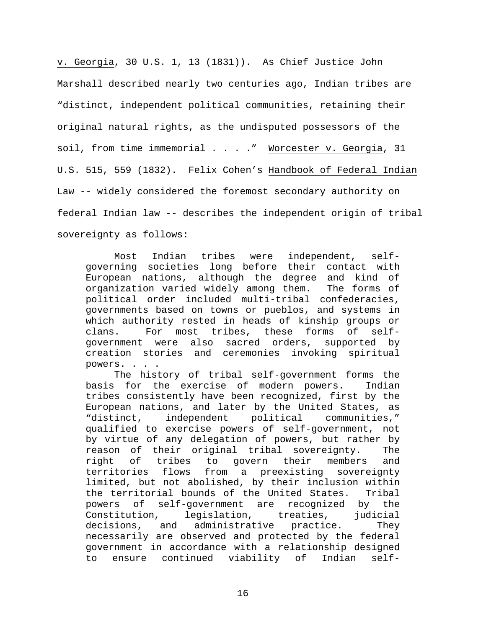v. Georgia, 30 U.S. 1, 13 (1831)). As Chief Justice John Marshall described nearly two centuries ago, Indian tribes are "distinct, independent political communities, retaining their original natural rights, as the undisputed possessors of the soil, from time immemorial . . . . " Worcester v. Georgia, 31 U.S. 515, 559 (1832). Felix Cohen's Handbook of Federal Indian Law -- widely considered the foremost secondary authority on federal Indian law -- describes the independent origin of tribal sovereignty as follows:

Most Indian tribes were independent, selfgoverning societies long before their contact with European nations, although the degree and kind of organization varied widely among them. The forms of political order included multi-tribal confederacies, governments based on towns or pueblos, and systems in which authority rested in heads of kinship groups or clans. For most tribes, these forms of selfgovernment were also sacred orders, supported by creation stories and ceremonies invoking spiritual powers. . . .

The history of tribal self-government forms the basis for the exercise of modern powers. Indian tribes consistently have been recognized, first by the European nations, and later by the United States, as "distinct, independent political communities," qualified to exercise powers of self-government, not by virtue of any delegation of powers, but rather by reason of their original tribal sovereignty. The right of tribes to govern their members and territories flows from a preexisting sovereignty limited, but not abolished, by their inclusion within the territorial bounds of the United States. Tribal powers of self-government are recognized by the Constitution, legislation, treaties, judicial decisions, and administrative practice. They necessarily are observed and protected by the federal government in accordance with a relationship designed to ensure continued viability of Indian self-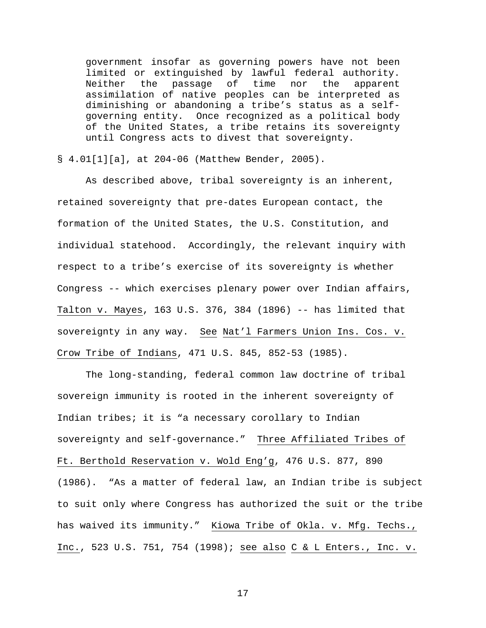government insofar as governing powers have not been limited or extinguished by lawful federal authority. Neither the passage of time nor the apparent assimilation of native peoples can be interpreted as diminishing or abandoning a tribe's status as a selfgoverning entity. Once recognized as a political body of the United States, a tribe retains its sovereignty until Congress acts to divest that sovereignty.

§ 4.01[1][a], at 204-06 (Matthew Bender, 2005).

As described above, tribal sovereignty is an inherent, retained sovereignty that pre-dates European contact, the formation of the United States, the U.S. Constitution, and individual statehood. Accordingly, the relevant inquiry with respect to a tribe's exercise of its sovereignty is whether Congress -- which exercises plenary power over Indian affairs, Talton v. Mayes, 163 U.S. 376, 384 (1896) -- has limited that sovereignty in any way. See Nat'l Farmers Union Ins. Cos. v. Crow Tribe of Indians, 471 U.S. 845, 852-53 (1985).

The long-standing, federal common law doctrine of tribal sovereign immunity is rooted in the inherent sovereignty of Indian tribes; it is "a necessary corollary to Indian sovereignty and self-governance." Three Affiliated Tribes of Ft. Berthold Reservation v. Wold Eng'g, 476 U.S. 877, 890 (1986). "As a matter of federal law, an Indian tribe is subject to suit only where Congress has authorized the suit or the tribe has waived its immunity." Kiowa Tribe of Okla. v. Mfg. Techs., Inc., 523 U.S. 751, 754 (1998); see also C & L Enters., Inc. v.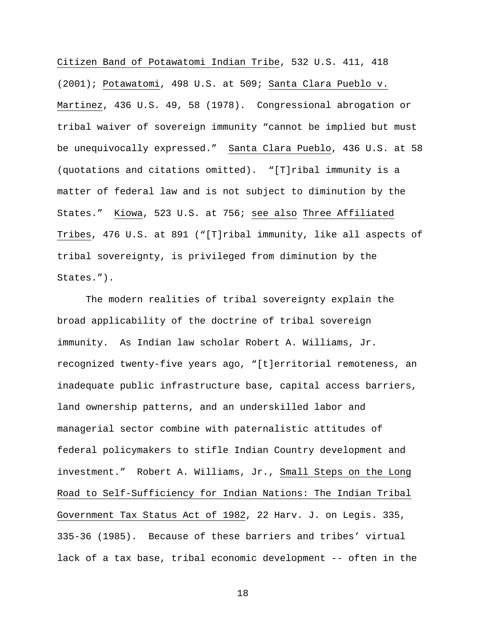Citizen Band of Potawatomi Indian Tribe, 532 U.S. 411, 418 (2001); Potawatomi, 498 U.S. at 509; Santa Clara Pueblo v. Martinez, 436 U.S. 49, 58 (1978). Congressional abrogation or tribal waiver of sovereign immunity "cannot be implied but must be unequivocally expressed." Santa Clara Pueblo, 436 U.S. at 58 (quotations and citations omitted). "[T]ribal immunity is a matter of federal law and is not subject to diminution by the States." Kiowa, 523 U.S. at 756; see also Three Affiliated Tribes, 476 U.S. at 891 ("[T]ribal immunity, like all aspects of tribal sovereignty, is privileged from diminution by the States.").

The modern realities of tribal sovereignty explain the broad applicability of the doctrine of tribal sovereign immunity. As Indian law scholar Robert A. Williams, Jr. recognized twenty-five years ago, "[t]erritorial remoteness, an inadequate public infrastructure base, capital access barriers, land ownership patterns, and an underskilled labor and managerial sector combine with paternalistic attitudes of federal policymakers to stifle Indian Country development and investment." Robert A. Williams, Jr., Small Steps on the Long Road to Self-Sufficiency for Indian Nations: The Indian Tribal Government Tax Status Act of 1982, 22 Harv. J. on Legis. 335, 335-36 (1985). Because of these barriers and tribes' virtual lack of a tax base, tribal economic development -- often in the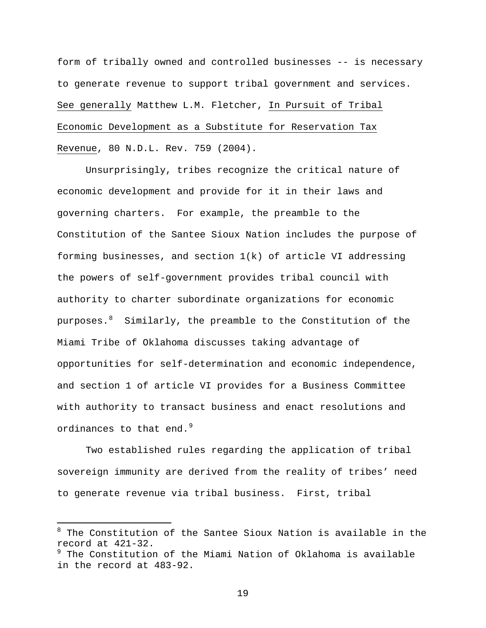form of tribally owned and controlled businesses -- is necessary to generate revenue to support tribal government and services. See generally Matthew L.M. Fletcher, In Pursuit of Tribal Economic Development as a Substitute for Reservation Tax Revenue, 80 N.D.L. Rev. 759 (2004).

Unsurprisingly, tribes recognize the critical nature of economic development and provide for it in their laws and governing charters. For example, the preamble to the Constitution of the Santee Sioux Nation includes the purpose of forming businesses, and section 1(k) of article VI addressing the powers of self-government provides tribal council with authority to charter subordinate organizations for economic purposes.<sup>[8](#page-21-0)</sup> Similarly, the preamble to the Constitution of the Miami Tribe of Oklahoma discusses taking advantage of opportunities for self-determination and economic independence, and section 1 of article VI provides for a Business Committee with authority to transact business and enact resolutions and ordinances to that end.<sup>[9](#page-21-1)</sup>

Two established rules regarding the application of tribal sovereign immunity are derived from the reality of tribes' need to generate revenue via tribal business. First, tribal

 $\overline{\phantom{0}}$ 

<span id="page-21-0"></span><sup>&</sup>lt;sup>8</sup> The Constitution of the Santee Sioux Nation is available in the record at 421-32.

<span id="page-21-1"></span> $^9$  The Constitution of the Miami Nation of Oklahoma is available in the record at 483-92.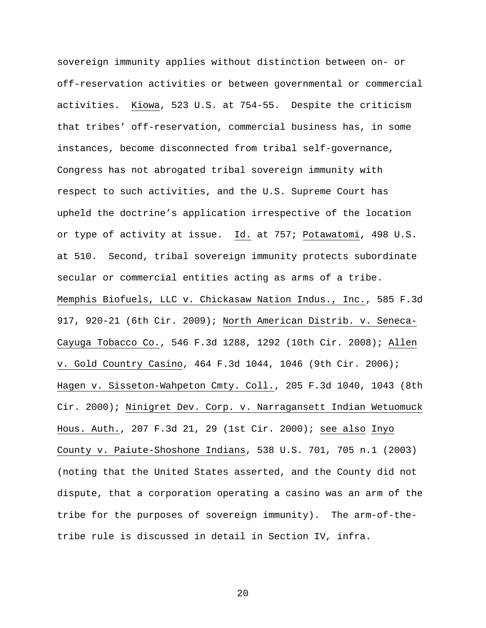sovereign immunity applies without distinction between on- or off-reservation activities or between governmental or commercial activities. Kiowa, 523 U.S. at 754-55. Despite the criticism that tribes' off-reservation, commercial business has, in some instances, become disconnected from tribal self-governance, Congress has not abrogated tribal sovereign immunity with respect to such activities, and the U.S. Supreme Court has upheld the doctrine's application irrespective of the location or type of activity at issue. Id. at 757; Potawatomi, 498 U.S. at 510. Second, tribal sovereign immunity protects subordinate secular or commercial entities acting as arms of a tribe. Memphis Biofuels, LLC v. Chickasaw Nation Indus., Inc., 585 F.3d 917, 920-21 (6th Cir. 2009); North American Distrib. v. Seneca-Cayuga Tobacco Co., 546 F.3d 1288, 1292 (10th Cir. 2008); Allen v. Gold Country Casino, 464 F.3d 1044, 1046 (9th Cir. 2006); Hagen v. Sisseton-Wahpeton Cmty. Coll., 205 F.3d 1040, 1043 (8th Cir. 2000); Ninigret Dev. Corp. v. Narragansett Indian Wetuomuck Hous. Auth., 207 F.3d 21, 29 (1st Cir. 2000); see also Inyo County v. Paiute-Shoshone Indians, 538 U.S. 701, 705 n.1 (2003) (noting that the United States asserted, and the County did not dispute, that a corporation operating a casino was an arm of the tribe for the purposes of sovereign immunity). The arm-of-thetribe rule is discussed in detail in Section IV, infra.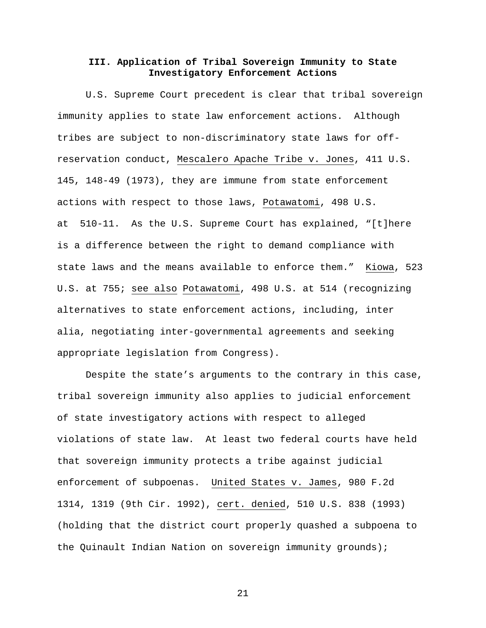# **III. Application of Tribal Sovereign Immunity to State Investigatory Enforcement Actions**

U.S. Supreme Court precedent is clear that tribal sovereign immunity applies to state law enforcement actions. Although tribes are subject to non-discriminatory state laws for offreservation conduct, Mescalero Apache Tribe v. Jones, 411 U.S. 145, 148-49 (1973), they are immune from state enforcement actions with respect to those laws, Potawatomi, 498 U.S. at 510-11. As the U.S. Supreme Court has explained, "[t]here is a difference between the right to demand compliance with state laws and the means available to enforce them." Kiowa, 523 U.S. at 755; see also Potawatomi, 498 U.S. at 514 (recognizing alternatives to state enforcement actions, including, inter alia, negotiating inter-governmental agreements and seeking appropriate legislation from Congress).

Despite the state's arguments to the contrary in this case, tribal sovereign immunity also applies to judicial enforcement of state investigatory actions with respect to alleged violations of state law. At least two federal courts have held that sovereign immunity protects a tribe against judicial enforcement of subpoenas. United States v. James, 980 F.2d 1314, 1319 (9th Cir. 1992), cert. denied, 510 U.S. 838 (1993) (holding that the district court properly quashed a subpoena to the Quinault Indian Nation on sovereign immunity grounds);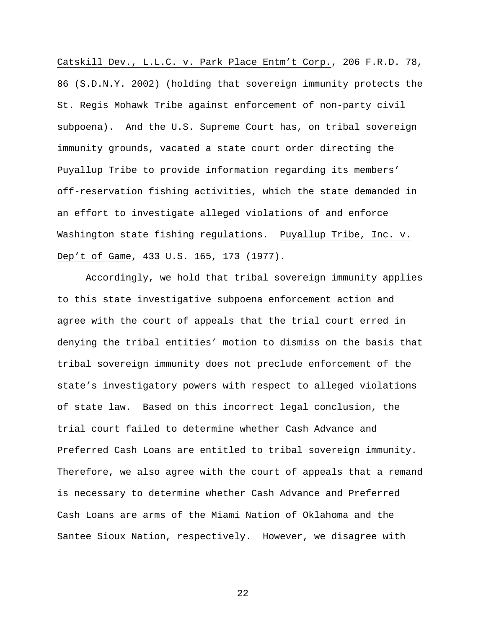Catskill Dev., L.L.C. v. Park Place Entm't Corp., 206 F.R.D. 78, 86 (S.D.N.Y. 2002) (holding that sovereign immunity protects the St. Regis Mohawk Tribe against enforcement of non-party civil subpoena). And the U.S. Supreme Court has, on tribal sovereign immunity grounds, vacated a state court order directing the Puyallup Tribe to provide information regarding its members' off-reservation fishing activities, which the state demanded in an effort to investigate alleged violations of and enforce Washington state fishing regulations. Puyallup Tribe, Inc. v. Dep't of Game, 433 U.S. 165, 173 (1977).

Accordingly, we hold that tribal sovereign immunity applies to this state investigative subpoena enforcement action and agree with the court of appeals that the trial court erred in denying the tribal entities' motion to dismiss on the basis that tribal sovereign immunity does not preclude enforcement of the state's investigatory powers with respect to alleged violations of state law. Based on this incorrect legal conclusion, the trial court failed to determine whether Cash Advance and Preferred Cash Loans are entitled to tribal sovereign immunity. Therefore, we also agree with the court of appeals that a remand is necessary to determine whether Cash Advance and Preferred Cash Loans are arms of the Miami Nation of Oklahoma and the Santee Sioux Nation, respectively. However, we disagree with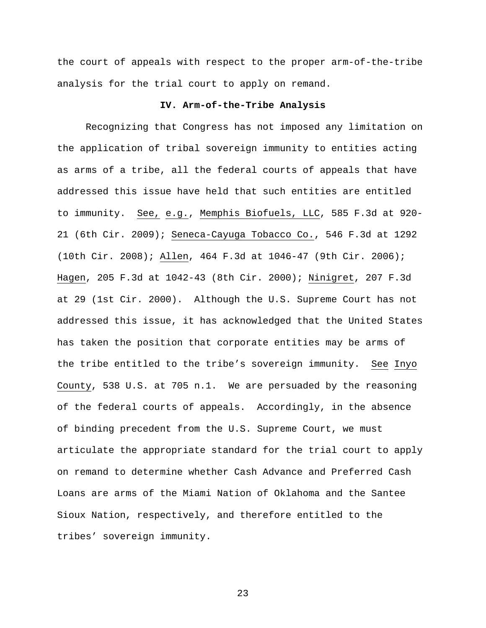the court of appeals with respect to the proper arm-of-the-tribe analysis for the trial court to apply on remand.

### **IV. Arm-of-the-Tribe Analysis**

Recognizing that Congress has not imposed any limitation on the application of tribal sovereign immunity to entities acting as arms of a tribe, all the federal courts of appeals that have addressed this issue have held that such entities are entitled to immunity. See, e.g., Memphis Biofuels, LLC, 585 F.3d at 920- 21 (6th Cir. 2009); Seneca-Cayuga Tobacco Co., 546 F.3d at 1292 (10th Cir. 2008); Allen, 464 F.3d at 1046-47 (9th Cir. 2006); Hagen, 205 F.3d at 1042-43 (8th Cir. 2000); Ninigret, 207 F.3d at 29 (1st Cir. 2000). Although the U.S. Supreme Court has not addressed this issue, it has acknowledged that the United States has taken the position that corporate entities may be arms of the tribe entitled to the tribe's sovereign immunity. See Inyo County, 538 U.S. at 705 n.1. We are persuaded by the reasoning of the federal courts of appeals. Accordingly, in the absence of binding precedent from the U.S. Supreme Court, we must articulate the appropriate standard for the trial court to apply on remand to determine whether Cash Advance and Preferred Cash Loans are arms of the Miami Nation of Oklahoma and the Santee Sioux Nation, respectively, and therefore entitled to the tribes' sovereign immunity.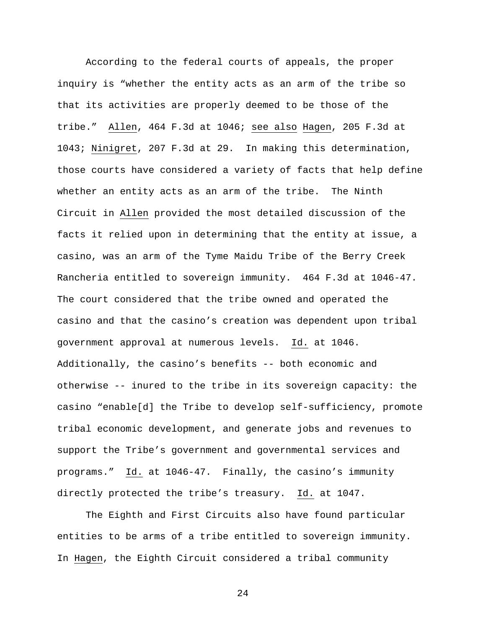According to the federal courts of appeals, the proper inquiry is "whether the entity acts as an arm of the tribe so that its activities are properly deemed to be those of the tribe." Allen, 464 F.3d at 1046; see also Hagen, 205 F.3d at 1043; Ninigret, 207 F.3d at 29. In making this determination, those courts have considered a variety of facts that help define whether an entity acts as an arm of the tribe. The Ninth Circuit in Allen provided the most detailed discussion of the facts it relied upon in determining that the entity at issue, a casino, was an arm of the Tyme Maidu Tribe of the Berry Creek Rancheria entitled to sovereign immunity. 464 F.3d at 1046-47. The court considered that the tribe owned and operated the casino and that the casino's creation was dependent upon tribal government approval at numerous levels. Id. at 1046. Additionally, the casino's benefits -- both economic and otherwise -- inured to the tribe in its sovereign capacity: the casino "enable[d] the Tribe to develop self-sufficiency, promote tribal economic development, and generate jobs and revenues to support the Tribe's government and governmental services and programs." Id. at 1046-47. Finally, the casino's immunity directly protected the tribe's treasury. Id. at 1047.

The Eighth and First Circuits also have found particular entities to be arms of a tribe entitled to sovereign immunity. In Hagen, the Eighth Circuit considered a tribal community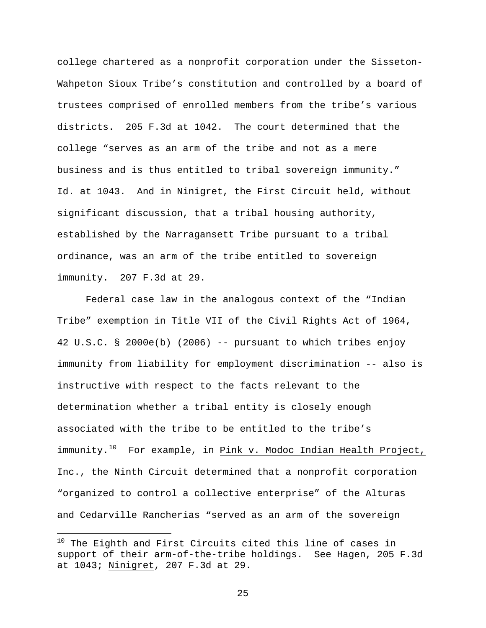college chartered as a nonprofit corporation under the Sisseton-Wahpeton Sioux Tribe's constitution and controlled by a board of trustees comprised of enrolled members from the tribe's various districts. 205 F.3d at 1042. The court determined that the college "serves as an arm of the tribe and not as a mere business and is thus entitled to tribal sovereign immunity." Id. at 1043. And in Ninigret, the First Circuit held, without significant discussion, that a tribal housing authority, established by the Narragansett Tribe pursuant to a tribal ordinance, was an arm of the tribe entitled to sovereign immunity. 207 F.3d at 29.

Federal case law in the analogous context of the "Indian Tribe" exemption in Title VII of the Civil Rights Act of 1964, 42 U.S.C. § 2000e(b) (2006) -- pursuant to which tribes enjoy immunity from liability for employment discrimination -- also is instructive with respect to the facts relevant to the determination whether a tribal entity is closely enough associated with the tribe to be entitled to the tribe's immunity.<sup>[10](#page-27-0)</sup> For example, in Pink v. Modoc Indian Health Project, Inc., the Ninth Circuit determined that a nonprofit corporation "organized to control a collective enterprise" of the Alturas and Cedarville Rancherias "served as an arm of the sovereign

i

<span id="page-27-0"></span> $10$  The Eighth and First Circuits cited this line of cases in support of their arm-of-the-tribe holdings. See Hagen, 205 F.3d at 1043; Ninigret, 207 F.3d at 29.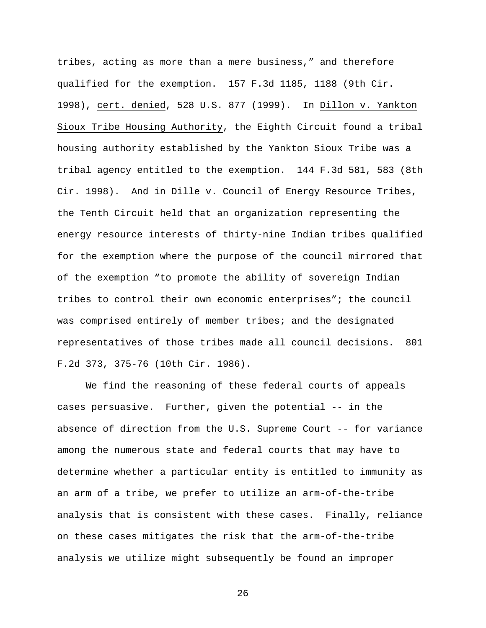tribes, acting as more than a mere business," and therefore qualified for the exemption. 157 F.3d 1185, 1188 (9th Cir. 1998), cert. denied, 528 U.S. 877 (1999). In Dillon v. Yankton Sioux Tribe Housing Authority, the Eighth Circuit found a tribal housing authority established by the Yankton Sioux Tribe was a tribal agency entitled to the exemption. 144 F.3d 581, 583 (8th Cir. 1998). And in Dille v. Council of Energy Resource Tribes, the Tenth Circuit held that an organization representing the energy resource interests of thirty-nine Indian tribes qualified for the exemption where the purpose of the council mirrored that of the exemption "to promote the ability of sovereign Indian tribes to control their own economic enterprises"; the council was comprised entirely of member tribes; and the designated representatives of those tribes made all council decisions. 801 F.2d 373, 375-76 (10th Cir. 1986).

We find the reasoning of these federal courts of appeals cases persuasive. Further, given the potential -- in the absence of direction from the U.S. Supreme Court -- for variance among the numerous state and federal courts that may have to determine whether a particular entity is entitled to immunity as an arm of a tribe, we prefer to utilize an arm-of-the-tribe analysis that is consistent with these cases. Finally, reliance on these cases mitigates the risk that the arm-of-the-tribe analysis we utilize might subsequently be found an improper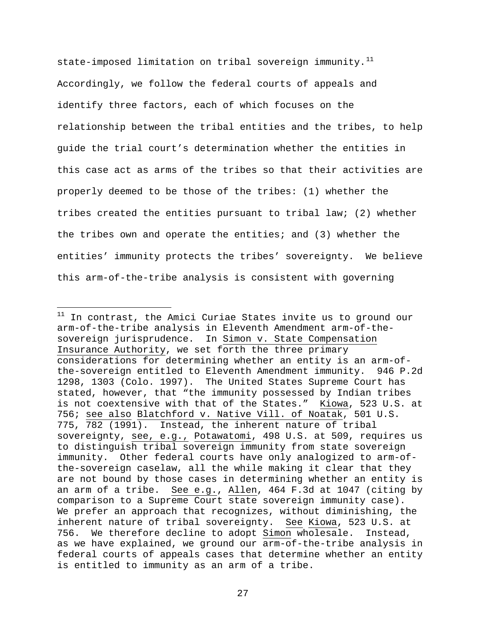state-imposed limitation on tribal sovereign immunity. $11$ Accordingly, we follow the federal courts of appeals and identify three factors, each of which focuses on the relationship between the tribal entities and the tribes, to help guide the trial court's determination whether the entities in this case act as arms of the tribes so that their activities are properly deemed to be those of the tribes: (1) whether the tribes created the entities pursuant to tribal law; (2) whether the tribes own and operate the entities; and (3) whether the entities' immunity protects the tribes' sovereignty. We believe this arm-of-the-tribe analysis is consistent with governing

 $\overline{\phantom{0}}$ 

<span id="page-29-0"></span> $11$  In contrast, the Amici Curiae States invite us to ground our arm-of-the-tribe analysis in Eleventh Amendment arm-of-thesovereign jurisprudence. In Simon v. State Compensation Insurance Authority, we set forth the three primary considerations for determining whether an entity is an arm-ofthe-sovereign entitled to Eleventh Amendment immunity. 946 P.2d 1298, 1303 (Colo. 1997). The United States Supreme Court has stated, however, that "the immunity possessed by Indian tribes is not coextensive with that of the States." Kiowa, 523 U.S. at 756; see also Blatchford v. Native Vill. of Noatak, 501 U.S. 775, 782 (1991). Instead, the inherent nature of tribal sovereignty, see, e.g., Potawatomi, 498 U.S. at 509, requires us to distinguish tribal sovereign immunity from state sovereign immunity. Other federal courts have only analogized to arm-ofthe-sovereign caselaw, all the while making it clear that they are not bound by those cases in determining whether an entity is an arm of a tribe. See e.g., Allen, 464 F.3d at 1047 (citing by comparison to a Supreme Court state sovereign immunity case). We prefer an approach that recognizes, without diminishing, the inherent nature of tribal sovereignty. See Kiowa, 523 U.S. at 756. We therefore decline to adopt Simon wholesale. Instead, as we have explained, we ground our arm-of-the-tribe analysis in federal courts of appeals cases that determine whether an entity is entitled to immunity as an arm of a tribe.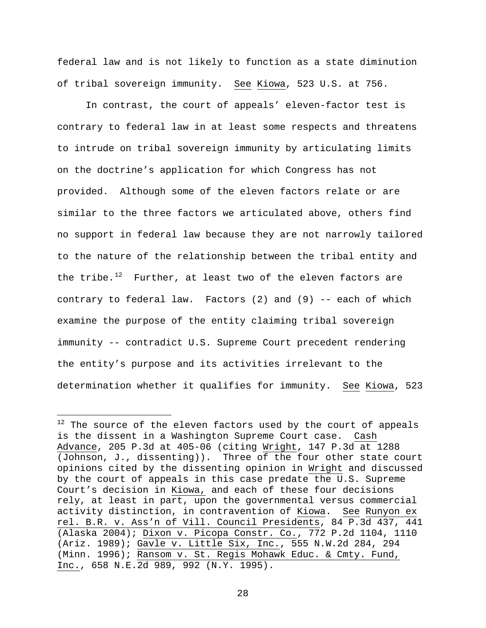federal law and is not likely to function as a state diminution of tribal sovereign immunity. See Kiowa, 523 U.S. at 756.

In contrast, the court of appeals' eleven-factor test is contrary to federal law in at least some respects and threatens to intrude on tribal sovereign immunity by articulating limits on the doctrine's application for which Congress has not provided. Although some of the eleven factors relate or are similar to the three factors we articulated above, others find no support in federal law because they are not narrowly tailored to the nature of the relationship between the tribal entity and the tribe.<sup>[12](#page-30-0)</sup> Further, at least two of the eleven factors are contrary to federal law. Factors  $(2)$  and  $(9)$  -- each of which examine the purpose of the entity claiming tribal sovereign immunity -- contradict U.S. Supreme Court precedent rendering the entity's purpose and its activities irrelevant to the determination whether it qualifies for immunity. See Kiowa, 523

 $\overline{\phantom{0}}$ 

<span id="page-30-0"></span> $^{12}$  The source of the eleven factors used by the court of appeals is the dissent in a Washington Supreme Court case. Cash Advance, 205 P.3d at 405-06 (citing Wright, 147 P.3d at 1288 (Johnson, J., dissenting)). Three of the four other state court opinions cited by the dissenting opinion in Wright and discussed by the court of appeals in this case predate the U.S. Supreme Court's decision in Kiowa, and each of these four decisions rely, at least in part, upon the governmental versus commercial activity distinction, in contravention of Kiowa. See Runyon ex rel. B.R. v. Ass'n of Vill. Council Presidents, 84 P.3d 437, 441 (Alaska 2004); Dixon v. Picopa Constr. Co., 772 P.2d 1104, 1110 (Ariz. 1989); Gavle v. Little Six, Inc., 555 N.W.2d 284, 294 (Minn. 1996); Ransom v. St. Regis Mohawk Educ. & Cmty. Fund, Inc., 658 N.E.2d 989, 992 (N.Y. 1995).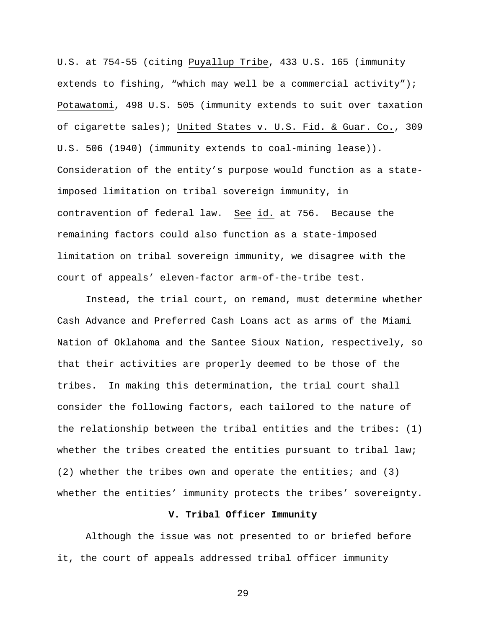U.S. at 754-55 (citing Puyallup Tribe, 433 U.S. 165 (immunity extends to fishing, "which may well be a commercial activity"); Potawatomi, 498 U.S. 505 (immunity extends to suit over taxation of cigarette sales); United States v. U.S. Fid. & Guar. Co., 309 U.S. 506 (1940) (immunity extends to coal-mining lease)). Consideration of the entity's purpose would function as a stateimposed limitation on tribal sovereign immunity, in contravention of federal law. See id. at 756. Because the remaining factors could also function as a state-imposed limitation on tribal sovereign immunity, we disagree with the court of appeals' eleven-factor arm-of-the-tribe test.

Instead, the trial court, on remand, must determine whether Cash Advance and Preferred Cash Loans act as arms of the Miami Nation of Oklahoma and the Santee Sioux Nation, respectively, so that their activities are properly deemed to be those of the tribes. In making this determination, the trial court shall consider the following factors, each tailored to the nature of the relationship between the tribal entities and the tribes: (1) whether the tribes created the entities pursuant to tribal law; (2) whether the tribes own and operate the entities; and (3) whether the entities' immunity protects the tribes' sovereignty.

# **V. Tribal Officer Immunity**

Although the issue was not presented to or briefed before it, the court of appeals addressed tribal officer immunity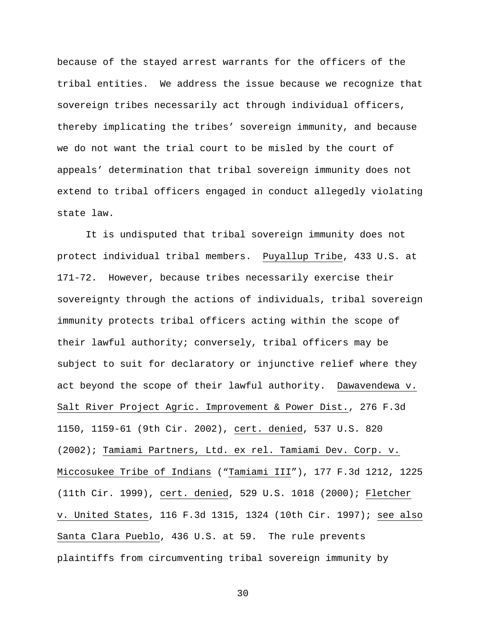because of the stayed arrest warrants for the officers of the tribal entities. We address the issue because we recognize that sovereign tribes necessarily act through individual officers, thereby implicating the tribes' sovereign immunity, and because we do not want the trial court to be misled by the court of appeals' determination that tribal sovereign immunity does not extend to tribal officers engaged in conduct allegedly violating state law.

It is undisputed that tribal sovereign immunity does not protect individual tribal members. Puyallup Tribe, 433 U.S. at 171-72. However, because tribes necessarily exercise their sovereignty through the actions of individuals, tribal sovereign immunity protects tribal officers acting within the scope of their lawful authority; conversely, tribal officers may be subject to suit for declaratory or injunctive relief where they act beyond the scope of their lawful authority. Dawavendewa v. Salt River Project Agric. Improvement & Power Dist., 276 F.3d 1150, 1159-61 (9th Cir. 2002), cert. denied, 537 U.S. 820 (2002); Tamiami Partners, Ltd. ex rel. Tamiami Dev. Corp. v. Miccosukee Tribe of Indians ("Tamiami III"), 177 F.3d 1212, 1225 (11th Cir. 1999), cert. denied, 529 U.S. 1018 (2000); Fletcher v. United States, 116 F.3d 1315, 1324 (10th Cir. 1997); see also Santa Clara Pueblo, 436 U.S. at 59. The rule prevents plaintiffs from circumventing tribal sovereign immunity by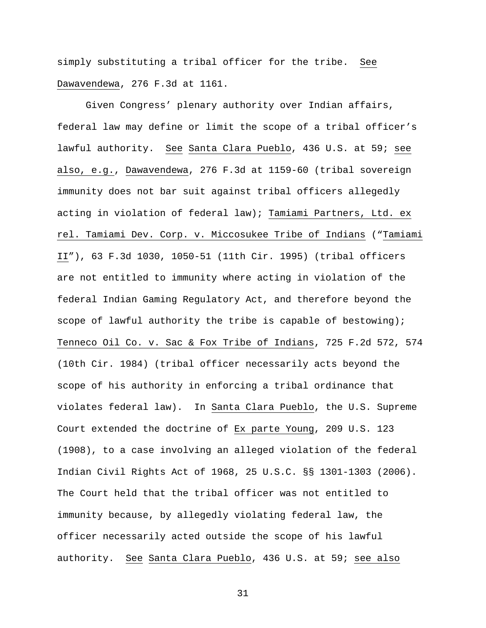simply substituting a tribal officer for the tribe. See Dawavendewa, 276 F.3d at 1161.

Given Congress' plenary authority over Indian affairs, federal law may define or limit the scope of a tribal officer's lawful authority. See Santa Clara Pueblo, 436 U.S. at 59; see also, e.g., Dawavendewa, 276 F.3d at 1159-60 (tribal sovereign immunity does not bar suit against tribal officers allegedly acting in violation of federal law); Tamiami Partners, Ltd. ex rel. Tamiami Dev. Corp. v. Miccosukee Tribe of Indians ("Tamiami II"), 63 F.3d 1030, 1050-51 (11th Cir. 1995) (tribal officers are not entitled to immunity where acting in violation of the federal Indian Gaming Regulatory Act, and therefore beyond the scope of lawful authority the tribe is capable of bestowing); Tenneco Oil Co. v. Sac & Fox Tribe of Indians, 725 F.2d 572, 574 (10th Cir. 1984) (tribal officer necessarily acts beyond the scope of his authority in enforcing a tribal ordinance that violates federal law). In Santa Clara Pueblo, the U.S. Supreme Court extended the doctrine of Ex parte Young, 209 U.S. 123 (1908), to a case involving an alleged violation of the federal Indian Civil Rights Act of 1968, 25 U.S.C. §§ 1301-1303 (2006). The Court held that the tribal officer was not entitled to immunity because, by allegedly violating federal law, the officer necessarily acted outside the scope of his lawful authority. See Santa Clara Pueblo, 436 U.S. at 59; see also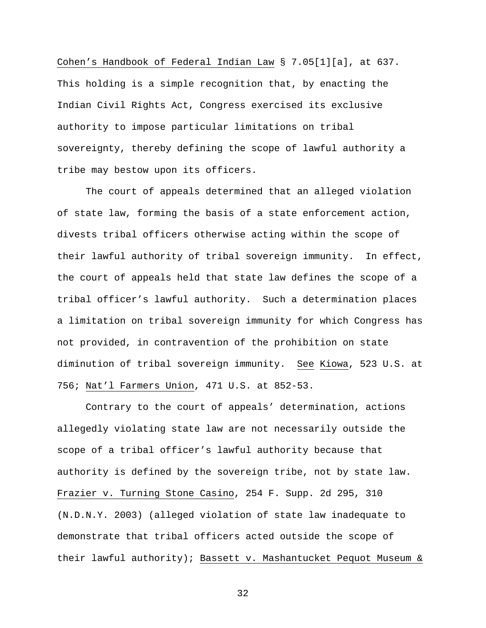Cohen's Handbook of Federal Indian Law § 7.05[1][a], at 637. This holding is a simple recognition that, by enacting the Indian Civil Rights Act, Congress exercised its exclusive authority to impose particular limitations on tribal sovereignty, thereby defining the scope of lawful authority a tribe may bestow upon its officers.

The court of appeals determined that an alleged violation of state law, forming the basis of a state enforcement action, divests tribal officers otherwise acting within the scope of their lawful authority of tribal sovereign immunity. In effect, the court of appeals held that state law defines the scope of a tribal officer's lawful authority. Such a determination places a limitation on tribal sovereign immunity for which Congress has not provided, in contravention of the prohibition on state diminution of tribal sovereign immunity. See Kiowa, 523 U.S. at 756; Nat'l Farmers Union, 471 U.S. at 852-53.

Contrary to the court of appeals' determination, actions allegedly violating state law are not necessarily outside the scope of a tribal officer's lawful authority because that authority is defined by the sovereign tribe, not by state law. Frazier v. Turning Stone Casino, 254 F. Supp. 2d 295, 310 (N.D.N.Y. 2003) (alleged violation of state law inadequate to demonstrate that tribal officers acted outside the scope of their lawful authority); Bassett v. Mashantucket Pequot Museum &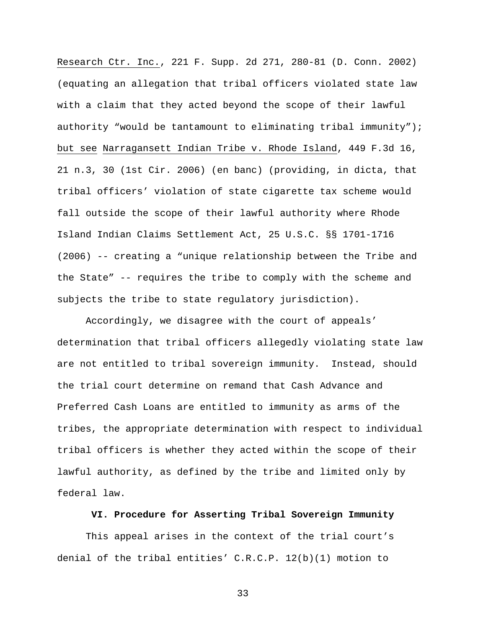Research Ctr. Inc., 221 F. Supp. 2d 271, 280-81 (D. Conn. 2002) (equating an allegation that tribal officers violated state law with a claim that they acted beyond the scope of their lawful authority "would be tantamount to eliminating tribal immunity"); but see Narragansett Indian Tribe v. Rhode Island, 449 F.3d 16, 21 n.3, 30 (1st Cir. 2006) (en banc) (providing, in dicta, that tribal officers' violation of state cigarette tax scheme would fall outside the scope of their lawful authority where Rhode Island Indian Claims Settlement Act, 25 U.S.C. §§ 1701-1716 (2006) -- creating a "unique relationship between the Tribe and the State" -- requires the tribe to comply with the scheme and subjects the tribe to state regulatory jurisdiction).

Accordingly, we disagree with the court of appeals' determination that tribal officers allegedly violating state law are not entitled to tribal sovereign immunity. Instead, should the trial court determine on remand that Cash Advance and Preferred Cash Loans are entitled to immunity as arms of the tribes, the appropriate determination with respect to individual tribal officers is whether they acted within the scope of their lawful authority, as defined by the tribe and limited only by federal law.

### **VI. Procedure for Asserting Tribal Sovereign Immunity**

This appeal arises in the context of the trial court's denial of the tribal entities' C.R.C.P. 12(b)(1) motion to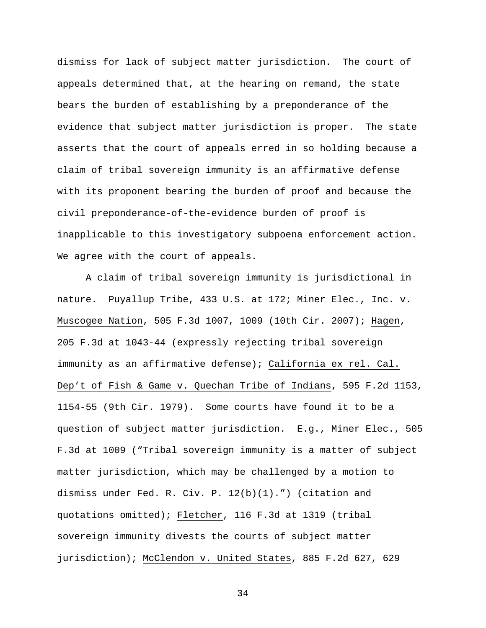dismiss for lack of subject matter jurisdiction. The court of appeals determined that, at the hearing on remand, the state bears the burden of establishing by a preponderance of the evidence that subject matter jurisdiction is proper. The state asserts that the court of appeals erred in so holding because a claim of tribal sovereign immunity is an affirmative defense with its proponent bearing the burden of proof and because the civil preponderance-of-the-evidence burden of proof is inapplicable to this investigatory subpoena enforcement action. We agree with the court of appeals.

A claim of tribal sovereign immunity is jurisdictional in nature. Puyallup Tribe, 433 U.S. at 172; Miner Elec., Inc. v. Muscogee Nation, 505 F.3d 1007, 1009 (10th Cir. 2007); Hagen, 205 F.3d at 1043-44 (expressly rejecting tribal sovereign immunity as an affirmative defense); California ex rel. Cal. Dep't of Fish & Game v. Quechan Tribe of Indians, 595 F.2d 1153, 1154-55 (9th Cir. 1979). Some courts have found it to be a question of subject matter jurisdiction. E.g., Miner Elec., 505 F.3d at 1009 ("Tribal sovereign immunity is a matter of subject matter jurisdiction, which may be challenged by a motion to dismiss under Fed. R. Civ. P. 12(b)(1).") (citation and quotations omitted); Fletcher, 116 F.3d at 1319 (tribal sovereign immunity divests the courts of subject matter jurisdiction); McClendon v. United States, 885 F.2d 627, 629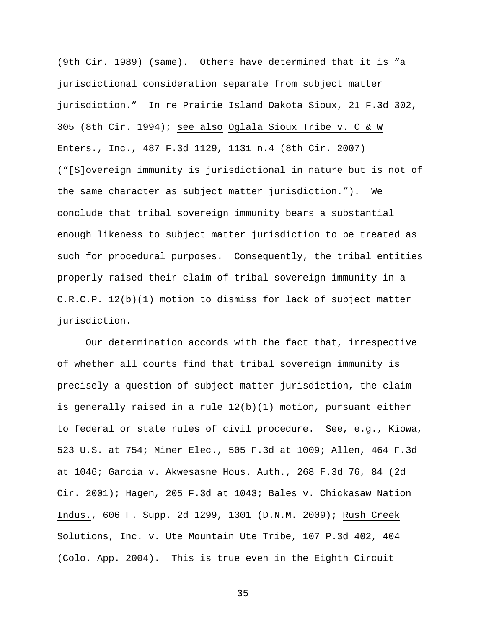(9th Cir. 1989) (same). Others have determined that it is "a jurisdictional consideration separate from subject matter jurisdiction." In re Prairie Island Dakota Sioux, 21 F.3d 302, 305 (8th Cir. 1994); see also Oglala Sioux Tribe v. C & W Enters., Inc., 487 F.3d 1129, 1131 n.4 (8th Cir. 2007) ("[S]overeign immunity is jurisdictional in nature but is not of the same character as subject matter jurisdiction."). We conclude that tribal sovereign immunity bears a substantial enough likeness to subject matter jurisdiction to be treated as such for procedural purposes. Consequently, the tribal entities properly raised their claim of tribal sovereign immunity in a C.R.C.P. 12(b)(1) motion to dismiss for lack of subject matter jurisdiction.

Our determination accords with the fact that, irrespective of whether all courts find that tribal sovereign immunity is precisely a question of subject matter jurisdiction, the claim is generally raised in a rule 12(b)(1) motion, pursuant either to federal or state rules of civil procedure. See, e.g., Kiowa, 523 U.S. at 754; Miner Elec., 505 F.3d at 1009; Allen, 464 F.3d at 1046; Garcia v. Akwesasne Hous. Auth., 268 F.3d 76, 84 (2d Cir. 2001); Hagen, 205 F.3d at 1043; Bales v. Chickasaw Nation Indus., 606 F. Supp. 2d 1299, 1301 (D.N.M. 2009); Rush Creek Solutions, Inc. v. Ute Mountain Ute Tribe, 107 P.3d 402, 404 (Colo. App. 2004). This is true even in the Eighth Circuit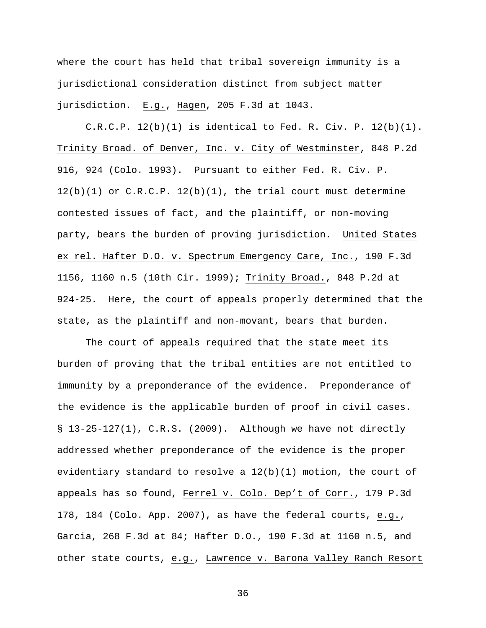where the court has held that tribal sovereign immunity is a jurisdictional consideration distinct from subject matter jurisdiction. E.g., Hagen, 205 F.3d at 1043.

 $C.R.C.P. 12(b)(1)$  is identical to Fed. R. Civ. P.  $12(b)(1)$ . Trinity Broad. of Denver, Inc. v. City of Westminster, 848 P.2d 916, 924 (Colo. 1993). Pursuant to either Fed. R. Civ. P.  $12(b)(1)$  or C.R.C.P.  $12(b)(1)$ , the trial court must determine contested issues of fact, and the plaintiff, or non-moving party, bears the burden of proving jurisdiction. United States ex rel. Hafter D.O. v. Spectrum Emergency Care, Inc., 190 F.3d 1156, 1160 n.5 (10th Cir. 1999); Trinity Broad., 848 P.2d at 924-25. Here, the court of appeals properly determined that the state, as the plaintiff and non-movant, bears that burden.

The court of appeals required that the state meet its burden of proving that the tribal entities are not entitled to immunity by a preponderance of the evidence. Preponderance of the evidence is the applicable burden of proof in civil cases.  $\S$  13-25-127(1), C.R.S. (2009). Although we have not directly addressed whether preponderance of the evidence is the proper evidentiary standard to resolve a  $12(b)(1)$  motion, the court of appeals has so found, Ferrel v. Colo. Dep't of Corr., 179 P.3d 178, 184 (Colo. App. 2007), as have the federal courts, e.g., Garcia, 268 F.3d at 84; Hafter D.O., 190 F.3d at 1160 n.5, and other state courts, e.g., Lawrence v. Barona Valley Ranch Resort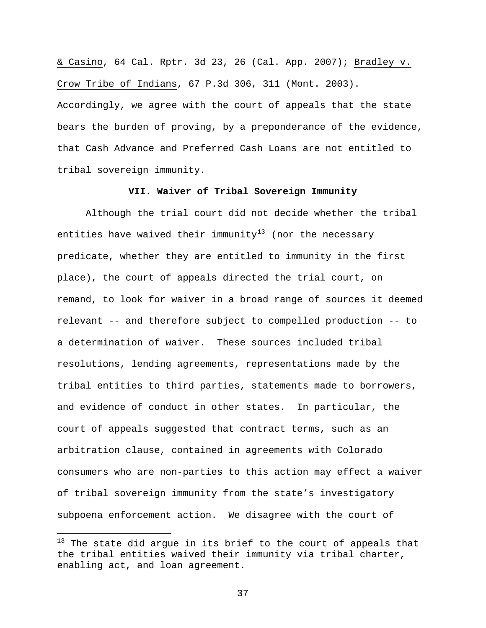& Casino, 64 Cal. Rptr. 3d 23, 26 (Cal. App. 2007); Bradley v. Crow Tribe of Indians, 67 P.3d 306, 311 (Mont. 2003). Accordingly, we agree with the court of appeals that the state bears the burden of proving, by a preponderance of the evidence, that Cash Advance and Preferred Cash Loans are not entitled to tribal sovereign immunity.

# **VII. Waiver of Tribal Sovereign Immunity**

 Although the trial court did not decide whether the tribal entities have waived their immunity<sup>[13](#page-39-0)</sup> (nor the necessary predicate, whether they are entitled to immunity in the first place), the court of appeals directed the trial court, on remand, to look for waiver in a broad range of sources it deemed relevant -- and therefore subject to compelled production -- to a determination of waiver. These sources included tribal resolutions, lending agreements, representations made by the tribal entities to third parties, statements made to borrowers, and evidence of conduct in other states. In particular, the court of appeals suggested that contract terms, such as an arbitration clause, contained in agreements with Colorado consumers who are non-parties to this action may effect a waiver of tribal sovereign immunity from the state's investigatory subpoena enforcement action. We disagree with the court of

i

<span id="page-39-0"></span> $13$  The state did argue in its brief to the court of appeals that the tribal entities waived their immunity via tribal charter, enabling act, and loan agreement.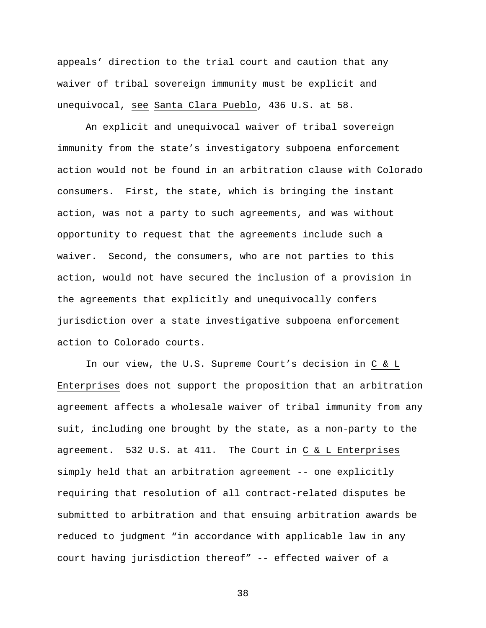appeals' direction to the trial court and caution that any waiver of tribal sovereign immunity must be explicit and unequivocal, see Santa Clara Pueblo, 436 U.S. at 58.

An explicit and unequivocal waiver of tribal sovereign immunity from the state's investigatory subpoena enforcement action would not be found in an arbitration clause with Colorado consumers. First, the state, which is bringing the instant action, was not a party to such agreements, and was without opportunity to request that the agreements include such a waiver. Second, the consumers, who are not parties to this action, would not have secured the inclusion of a provision in the agreements that explicitly and unequivocally confers jurisdiction over a state investigative subpoena enforcement action to Colorado courts.

In our view, the U.S. Supreme Court's decision in C & L Enterprises does not support the proposition that an arbitration agreement affects a wholesale waiver of tribal immunity from any suit, including one brought by the state, as a non-party to the agreement. 532 U.S. at 411. The Court in C & L Enterprises simply held that an arbitration agreement -- one explicitly requiring that resolution of all contract-related disputes be submitted to arbitration and that ensuing arbitration awards be reduced to judgment "in accordance with applicable law in any court having jurisdiction thereof" -- effected waiver of a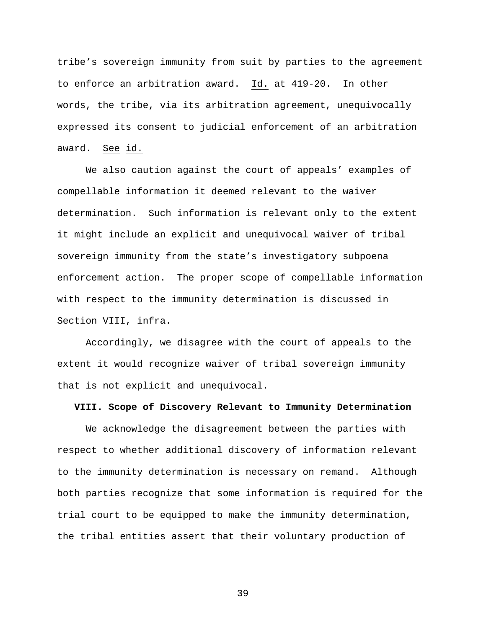tribe's sovereign immunity from suit by parties to the agreement to enforce an arbitration award. Id. at 419-20. In other words, the tribe, via its arbitration agreement, unequivocally expressed its consent to judicial enforcement of an arbitration award. See id.

We also caution against the court of appeals' examples of compellable information it deemed relevant to the waiver determination. Such information is relevant only to the extent it might include an explicit and unequivocal waiver of tribal sovereign immunity from the state's investigatory subpoena enforcement action. The proper scope of compellable information with respect to the immunity determination is discussed in Section VIII, infra.

Accordingly, we disagree with the court of appeals to the extent it would recognize waiver of tribal sovereign immunity that is not explicit and unequivocal.

### **VIII. Scope of Discovery Relevant to Immunity Determination**

We acknowledge the disagreement between the parties with respect to whether additional discovery of information relevant to the immunity determination is necessary on remand. Although both parties recognize that some information is required for the trial court to be equipped to make the immunity determination, the tribal entities assert that their voluntary production of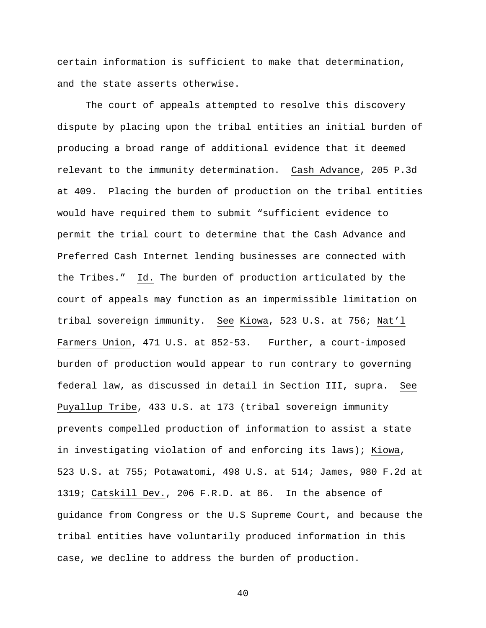certain information is sufficient to make that determination, and the state asserts otherwise.

The court of appeals attempted to resolve this discovery dispute by placing upon the tribal entities an initial burden of producing a broad range of additional evidence that it deemed relevant to the immunity determination. Cash Advance, 205 P.3d at 409. Placing the burden of production on the tribal entities would have required them to submit "sufficient evidence to permit the trial court to determine that the Cash Advance and Preferred Cash Internet lending businesses are connected with the Tribes." Id. The burden of production articulated by the court of appeals may function as an impermissible limitation on tribal sovereign immunity. See Kiowa, 523 U.S. at 756; Nat'l Farmers Union, 471 U.S. at 852-53. Further, a court-imposed burden of production would appear to run contrary to governing federal law, as discussed in detail in Section III, supra. See Puyallup Tribe, 433 U.S. at 173 (tribal sovereign immunity prevents compelled production of information to assist a state in investigating violation of and enforcing its laws); Kiowa, 523 U.S. at 755; Potawatomi, 498 U.S. at 514; James, 980 F.2d at 1319; Catskill Dev., 206 F.R.D. at 86. In the absence of guidance from Congress or the U.S Supreme Court, and because the tribal entities have voluntarily produced information in this case, we decline to address the burden of production.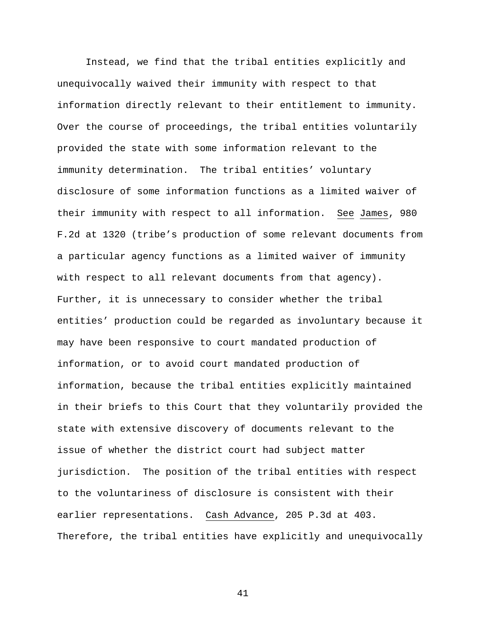Instead, we find that the tribal entities explicitly and unequivocally waived their immunity with respect to that information directly relevant to their entitlement to immunity. Over the course of proceedings, the tribal entities voluntarily provided the state with some information relevant to the immunity determination. The tribal entities' voluntary disclosure of some information functions as a limited waiver of their immunity with respect to all information. See James, 980 F.2d at 1320 (tribe's production of some relevant documents from a particular agency functions as a limited waiver of immunity with respect to all relevant documents from that agency). Further, it is unnecessary to consider whether the tribal entities' production could be regarded as involuntary because it may have been responsive to court mandated production of information, or to avoid court mandated production of information, because the tribal entities explicitly maintained in their briefs to this Court that they voluntarily provided the state with extensive discovery of documents relevant to the issue of whether the district court had subject matter jurisdiction. The position of the tribal entities with respect to the voluntariness of disclosure is consistent with their earlier representations. Cash Advance, 205 P.3d at 403. Therefore, the tribal entities have explicitly and unequivocally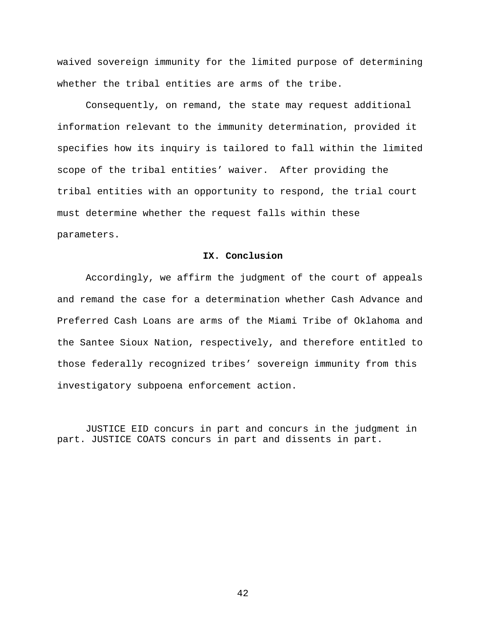waived sovereign immunity for the limited purpose of determining whether the tribal entities are arms of the tribe.

Consequently, on remand, the state may request additional information relevant to the immunity determination, provided it specifies how its inquiry is tailored to fall within the limited scope of the tribal entities' waiver. After providing the tribal entities with an opportunity to respond, the trial court must determine whether the request falls within these parameters.

# **IX. Conclusion**

Accordingly, we affirm the judgment of the court of appeals and remand the case for a determination whether Cash Advance and Preferred Cash Loans are arms of the Miami Tribe of Oklahoma and the Santee Sioux Nation, respectively, and therefore entitled to those federally recognized tribes' sovereign immunity from this investigatory subpoena enforcement action.

JUSTICE EID concurs in part and concurs in the judgment in part. JUSTICE COATS concurs in part and dissents in part.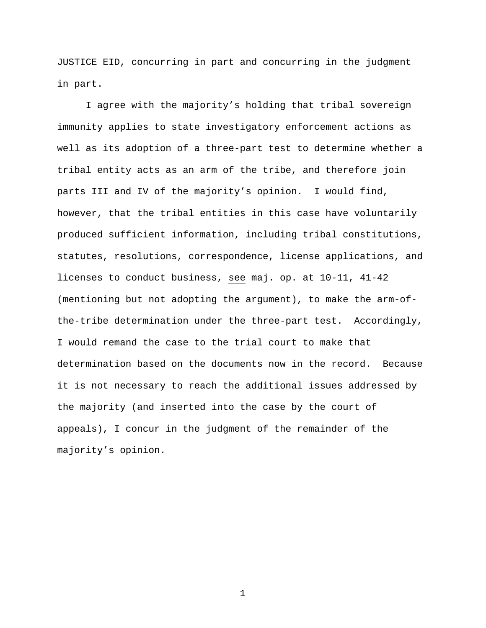JUSTICE EID, concurring in part and concurring in the judgment in part.

I agree with the majority's holding that tribal sovereign immunity applies to state investigatory enforcement actions as well as its adoption of a three-part test to determine whether a tribal entity acts as an arm of the tribe, and therefore join parts III and IV of the majority's opinion. I would find, however, that the tribal entities in this case have voluntarily produced sufficient information, including tribal constitutions, statutes, resolutions, correspondence, license applications, and licenses to conduct business, see maj. op. at 10-11, 41-42 (mentioning but not adopting the argument), to make the arm-ofthe-tribe determination under the three-part test. Accordingly, I would remand the case to the trial court to make that determination based on the documents now in the record. Because it is not necessary to reach the additional issues addressed by the majority (and inserted into the case by the court of appeals), I concur in the judgment of the remainder of the majority's opinion.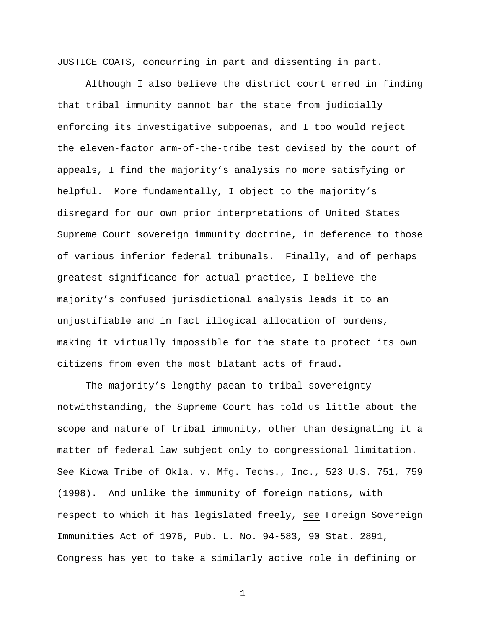JUSTICE COATS, concurring in part and dissenting in part.

 Although I also believe the district court erred in finding that tribal immunity cannot bar the state from judicially enforcing its investigative subpoenas, and I too would reject the eleven-factor arm-of-the-tribe test devised by the court of appeals, I find the majority's analysis no more satisfying or helpful. More fundamentally, I object to the majority's disregard for our own prior interpretations of United States Supreme Court sovereign immunity doctrine, in deference to those of various inferior federal tribunals. Finally, and of perhaps greatest significance for actual practice, I believe the majority's confused jurisdictional analysis leads it to an unjustifiable and in fact illogical allocation of burdens, making it virtually impossible for the state to protect its own citizens from even the most blatant acts of fraud.

 The majority's lengthy paean to tribal sovereignty notwithstanding, the Supreme Court has told us little about the scope and nature of tribal immunity, other than designating it a matter of federal law subject only to congressional limitation. See Kiowa Tribe of Okla. v. Mfg. Techs., Inc., 523 U.S. 751, 759 (1998). And unlike the immunity of foreign nations, with respect to which it has legislated freely, see Foreign Sovereign Immunities Act of 1976, Pub. L. No. 94-583, 90 Stat. 2891, Congress has yet to take a similarly active role in defining or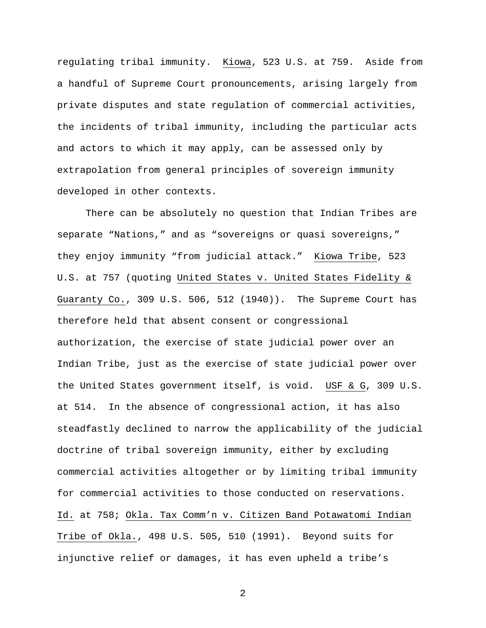regulating tribal immunity. Kiowa, 523 U.S. at 759. Aside from a handful of Supreme Court pronouncements, arising largely from private disputes and state regulation of commercial activities, the incidents of tribal immunity, including the particular acts and actors to which it may apply, can be assessed only by extrapolation from general principles of sovereign immunity developed in other contexts.

 There can be absolutely no question that Indian Tribes are separate "Nations," and as "sovereigns or quasi sovereigns," they enjoy immunity "from judicial attack." Kiowa Tribe, 523 U.S. at 757 (quoting United States v. United States Fidelity & Guaranty Co., 309 U.S. 506, 512 (1940)). The Supreme Court has therefore held that absent consent or congressional authorization, the exercise of state judicial power over an Indian Tribe, just as the exercise of state judicial power over the United States government itself, is void. USF & G, 309 U.S. at 514. In the absence of congressional action, it has also steadfastly declined to narrow the applicability of the judicial doctrine of tribal sovereign immunity, either by excluding commercial activities altogether or by limiting tribal immunity for commercial activities to those conducted on reservations. Id. at 758; Okla. Tax Comm'n v. Citizen Band Potawatomi Indian Tribe of Okla., 498 U.S. 505, 510 (1991). Beyond suits for injunctive relief or damages, it has even upheld a tribe's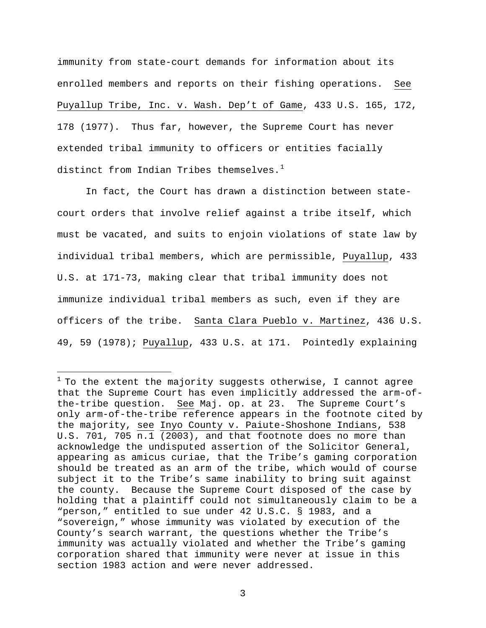immunity from state-court demands for information about its enrolled members and reports on their fishing operations. See Puyallup Tribe, Inc. v. Wash. Dep't of Game, 433 U.S. 165, 172, 178 (1977). Thus far, however, the Supreme Court has never extended tribal immunity to officers or entities facially distinct from Indian Tribes themselves. $<sup>1</sup>$  $<sup>1</sup>$  $<sup>1</sup>$ </sup>

In fact, the Court has drawn a distinction between statecourt orders that involve relief against a tribe itself, which must be vacated, and suits to enjoin violations of state law by individual tribal members, which are permissible, Puyallup, 433 U.S. at 171-73, making clear that tribal immunity does not immunize individual tribal members as such, even if they are officers of the tribe. Santa Clara Pueblo v. Martinez, 436 U.S. 49, 59 (1978); Puyallup, 433 U.S. at 171. Pointedly explaining

i<br>Li

<span id="page-48-0"></span> $1$  To the extent the majority suggests otherwise, I cannot agree that the Supreme Court has even implicitly addressed the arm-ofthe-tribe question. See Maj. op. at 23. The Supreme Court's only arm-of-the-tribe reference appears in the footnote cited by the majority, see Inyo County v. Paiute-Shoshone Indians, 538 U.S. 701, 705 n.1 (2003), and that footnote does no more than acknowledge the undisputed assertion of the Solicitor General, appearing as amicus curiae, that the Tribe's gaming corporation should be treated as an arm of the tribe, which would of course subject it to the Tribe's same inability to bring suit against the county. Because the Supreme Court disposed of the case by holding that a plaintiff could not simultaneously claim to be a "person," entitled to sue under 42 U.S.C. § 1983, and a "sovereign," whose immunity was violated by execution of the County's search warrant, the questions whether the Tribe's immunity was actually violated and whether the Tribe's gaming corporation shared that immunity were never at issue in this section 1983 action and were never addressed.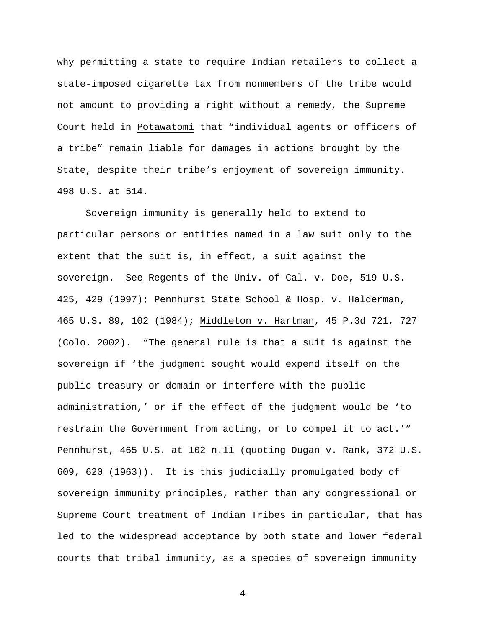why permitting a state to require Indian retailers to collect a state-imposed cigarette tax from nonmembers of the tribe would not amount to providing a right without a remedy, the Supreme Court held in Potawatomi that "individual agents or officers of a tribe" remain liable for damages in actions brought by the State, despite their tribe's enjoyment of sovereign immunity. 498 U.S. at 514.

 Sovereign immunity is generally held to extend to particular persons or entities named in a law suit only to the extent that the suit is, in effect, a suit against the sovereign. See Regents of the Univ. of Cal. v. Doe, 519 U.S. 425, 429 (1997); Pennhurst State School & Hosp. v. Halderman, 465 U.S. 89, 102 (1984); Middleton v. Hartman, 45 P.3d 721, 727 (Colo. 2002). "The general rule is that a suit is against the sovereign if 'the judgment sought would expend itself on the public treasury or domain or interfere with the public administration,' or if the effect of the judgment would be 'to restrain the Government from acting, or to compel it to act.'" Pennhurst, 465 U.S. at 102 n.11 (quoting Dugan v. Rank, 372 U.S. 609, 620 (1963)). It is this judicially promulgated body of sovereign immunity principles, rather than any congressional or Supreme Court treatment of Indian Tribes in particular, that has led to the widespread acceptance by both state and lower federal courts that tribal immunity, as a species of sovereign immunity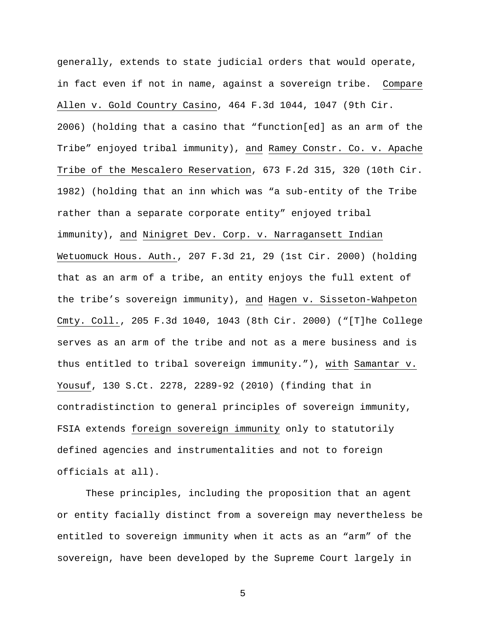generally, extends to state judicial orders that would operate, in fact even if not in name, against a sovereign tribe. Compare [Allen v. Gold Country Casino, 464 F.3d 1044, 1047 \(9th Cir.](http://web2.westlaw.com/find/default.wl?tf=-1&rs=WLW10.03&referencepositiontype=S&serialnum=2010386411&fn=_top&sv=Split&referenceposition=1047&pbc=D9B46BD2&tc=-1&ordoc=2017456388&findtype=Y&db=506&vr=2.0&rp=%2ffind%2fdefault.wl&mt=10) 

[2006\)](http://web2.westlaw.com/find/default.wl?tf=-1&rs=WLW10.03&referencepositiontype=S&serialnum=2010386411&fn=_top&sv=Split&referenceposition=1047&pbc=D9B46BD2&tc=-1&ordoc=2017456388&findtype=Y&db=506&vr=2.0&rp=%2ffind%2fdefault.wl&mt=10) (holding that a casino that "function[ed] as an arm of the Tribe" enjoyed tribal immunity), and [Ramey Constr. Co. v. Apache](http://web2.westlaw.com/find/default.wl?tf=-1&rs=WLW10.03&referencepositiontype=S&serialnum=1982113079&fn=_top&sv=Split&referenceposition=320&pbc=D9B46BD2&tc=-1&ordoc=2017456388&findtype=Y&db=350&vr=2.0&rp=%2ffind%2fdefault.wl&mt=10)  [Tribe of the Mescalero Reservation, 673 F.2d 315, 320 \(10th Cir.](http://web2.westlaw.com/find/default.wl?tf=-1&rs=WLW10.03&referencepositiontype=S&serialnum=1982113079&fn=_top&sv=Split&referenceposition=320&pbc=D9B46BD2&tc=-1&ordoc=2017456388&findtype=Y&db=350&vr=2.0&rp=%2ffind%2fdefault.wl&mt=10)  [1982\)](http://web2.westlaw.com/find/default.wl?tf=-1&rs=WLW10.03&referencepositiontype=S&serialnum=1982113079&fn=_top&sv=Split&referenceposition=320&pbc=D9B46BD2&tc=-1&ordoc=2017456388&findtype=Y&db=350&vr=2.0&rp=%2ffind%2fdefault.wl&mt=10) (holding that an inn which was "a sub-entity of the Tribe rather than a separate corporate entity" enjoyed tribal immunity), and Ninigret Dev. Corp. v. Narragansett Indian Wetuomuck Hous. Auth., 207 F.3d 21, 29 (1st Cir. 2000) (holding that as an arm of a tribe, an entity enjoys the full extent of the tribe's sovereign immunity), and Hagen v. Sisseton-Wahpeton Cmty. Coll., 205 F.3d 1040, 1043 (8th Cir. 2000) ("[T]he College serves as an arm of the tribe and not as a mere business and is thus entitled to tribal sovereign immunity."), with Samantar v. Yousuf, 130 S.Ct. 2278, 2289-92 (2010) (finding that in contradistinction to general principles of sovereign immunity, FSIA extends foreign sovereign immunity only to statutorily defined agencies and instrumentalities and not to foreign officials at all).

These principles, including the proposition that an agent or entity facially distinct from a sovereign may nevertheless be entitled to sovereign immunity when it acts as an "arm" of the sovereign, have been developed by the Supreme Court largely in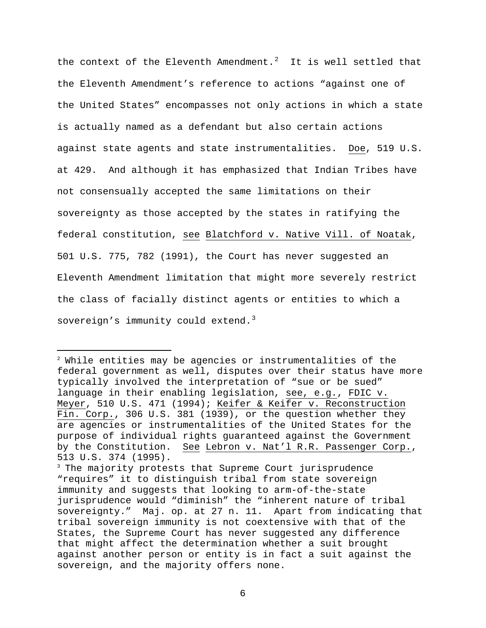the context of the Eleventh Amendment.<sup>[2](#page-51-0)</sup> It is well settled that the Eleventh Amendment's reference to actions "against one of the United States" encompasses not only actions in which a state is actually named as a defendant but also certain actions against state agents and state instrumentalities. Doe, 519 U.S. at 429. And although it has emphasized that Indian Tribes have not consensually accepted the same limitations on their sovereignty as those accepted by the states in ratifying the federal constitution, see Blatchford v. Native Vill. of Noatak, 501 U.S. 775, 782 (1991), the Court has never suggested an Eleventh Amendment limitation that might more severely restrict the class of facially distinct agents or entities to which a sovereign's immunity could extend. $3$ 

i

<span id="page-51-0"></span> $2$  While entities may be agencies or instrumentalities of the federal government as well, disputes over their status have more typically involved the interpretation of "sue or be sued" language in their enabling legislation, see, e.g., FDIC v. Meyer, 510 U.S. 471 (1994); Keifer & Keifer v. Reconstruction Fin. Corp., 306 U.S. 381 (1939), or the question whether they are agencies or instrumentalities of the United States for the purpose of individual rights guaranteed against the Government by the Constitution. See Lebron v. Nat'l R.R. Passenger Corp., 513 U.S. 374 (1995).

<span id="page-51-1"></span><sup>&</sup>lt;sup>3</sup> The majority protests that Supreme Court jurisprudence "requires" it to distinguish tribal from state sovereign immunity and suggests that looking to arm-of-the-state jurisprudence would "diminish" the "inherent nature of tribal sovereignty." Maj. op. at 27 n. 11. Apart from indicating that tribal sovereign immunity is not coextensive with that of the States, the Supreme Court has never suggested any difference that might affect the determination whether a suit brought against another person or entity is in fact a suit against the sovereign, and the majority offers none.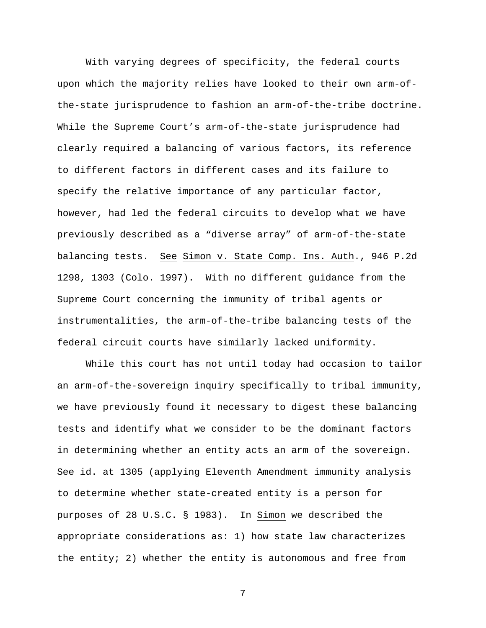With varying degrees of specificity, the federal courts upon which the majority relies have looked to their own arm-ofthe-state jurisprudence to fashion an arm-of-the-tribe doctrine. While the Supreme Court's arm-of-the-state jurisprudence had clearly required a balancing of various factors, its reference to different factors in different cases and its failure to specify the relative importance of any particular factor, however, had led the federal circuits to develop what we have previously described as a "diverse array" of arm-of-the-state balancing tests. See Simon v. State Comp. Ins. Auth., 946 P.2d 1298, 1303 (Colo. 1997). With no different guidance from the Supreme Court concerning the immunity of tribal agents or instrumentalities, the arm-of-the-tribe balancing tests of the federal circuit courts have similarly lacked uniformity.

While this court has not until today had occasion to tailor an arm-of-the-sovereign inquiry specifically to tribal immunity, we have previously found it necessary to digest these balancing tests and identify what we consider to be the dominant factors in determining whether an entity acts an arm of the sovereign. See id. at 1305 (applying Eleventh Amendment immunity analysis to determine whether state-created entity is a person for purposes of 28 U.S.C. § 1983). In Simon we described the appropriate considerations as: 1) how state law characterizes the entity; 2) whether the entity is autonomous and free from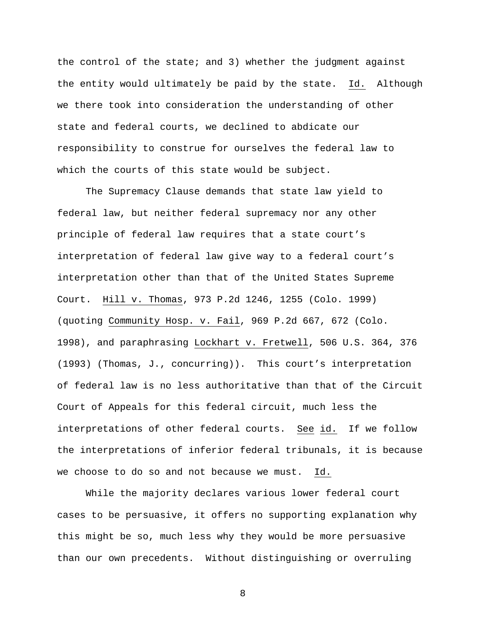the control of the state; and 3) whether the judgment against the entity would ultimately be paid by the state. Id. Although we there took into consideration the understanding of other state and federal courts, we declined to abdicate our responsibility to construe for ourselves the federal law to which the courts of this state would be subject.

The Supremacy Clause demands that state law yield to federal law, but neither federal supremacy nor any other principle of federal law requires that a state court's interpretation of federal law give way to a federal court's interpretation other than that of the United States Supreme Court. Hill v. Thomas, 973 P.2d 1246, 1255 (Colo. 1999) (quoting Community Hosp. v. Fail, 969 P.2d 667, 672 (Colo. 1998), and paraphrasing Lockhart v. Fretwell, 506 U.S. 364, 376 (1993) (Thomas, J., concurring)). This court's interpretation of federal law is no less authoritative than that of the Circuit Court of Appeals for this federal circuit, much less the interpretations of other federal courts. See id. If we follow the interpretations of inferior federal tribunals, it is because we choose to do so and not because we must. Id.

While the majority declares various lower federal court cases to be persuasive, it offers no supporting explanation why this might be so, much less why they would be more persuasive than our own precedents. Without distinguishing or overruling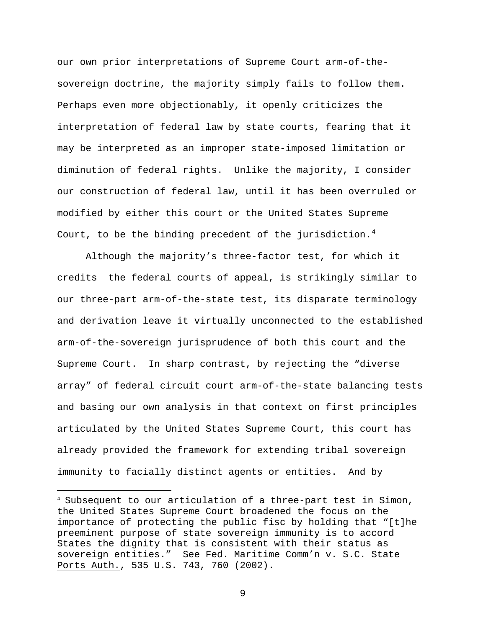our own prior interpretations of Supreme Court arm-of-thesovereign doctrine, the majority simply fails to follow them. Perhaps even more objectionably, it openly criticizes the interpretation of federal law by state courts, fearing that it may be interpreted as an improper state-imposed limitation or diminution of federal rights. Unlike the majority, I consider our construction of federal law, until it has been overruled or modified by either this court or the United States Supreme Court, to be the binding precedent of the jurisdiction.<sup>[4](#page-54-0)</sup>

 Although the majority's three-factor test, for which it credits the federal courts of appeal, is strikingly similar to our three-part arm-of-the-state test, its disparate terminology and derivation leave it virtually unconnected to the established arm-of-the-sovereign jurisprudence of both this court and the Supreme Court. In sharp contrast, by rejecting the "diverse array" of federal circuit court arm-of-the-state balancing tests and basing our own analysis in that context on first principles articulated by the United States Supreme Court, this court has already provided the framework for extending tribal sovereign immunity to facially distinct agents or entities. And by

 $\overline{\phantom{0}}$ 

<span id="page-54-0"></span><sup>4</sup> Subsequent to our articulation of a three-part test in Simon, the United States Supreme Court broadened the focus on the importance of protecting the public fisc by holding that "[t]he preeminent purpose of state sovereign immunity is to accord States the dignity that is consistent with their status as sovereign entities." See Fed. Maritime Comm'n v. S.C. State Ports Auth., 535 U.S. 743, 760 (2002).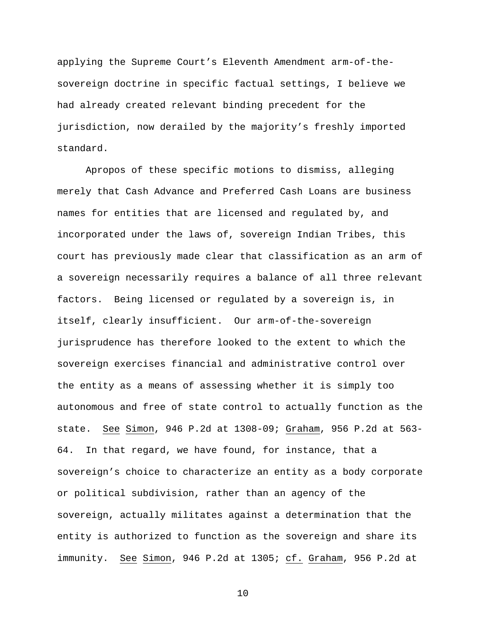applying the Supreme Court's Eleventh Amendment arm-of-thesovereign doctrine in specific factual settings, I believe we had already created relevant binding precedent for the jurisdiction, now derailed by the majority's freshly imported standard.

 Apropos of these specific motions to dismiss, alleging merely that Cash Advance and Preferred Cash Loans are business names for entities that are licensed and regulated by, and incorporated under the laws of, sovereign Indian Tribes, this court has previously made clear that classification as an arm of a sovereign necessarily requires a balance of all three relevant factors. Being licensed or regulated by a sovereign is, in itself, clearly insufficient. Our arm-of-the-sovereign jurisprudence has therefore looked to the extent to which the sovereign exercises financial and administrative control over the entity as a means of assessing whether it is simply too autonomous and free of state control to actually function as the state. See Simon, 946 P.2d at 1308-09; Graham, 956 P.2d at 563- 64. In that regard, we have found, for instance, that a sovereign's choice to characterize an entity as a body corporate or political subdivision, rather than an agency of the sovereign, actually militates against a determination that the entity is authorized to function as the sovereign and share its immunity. See Simon, 946 P.2d at 1305; cf. Graham, 956 P.2d at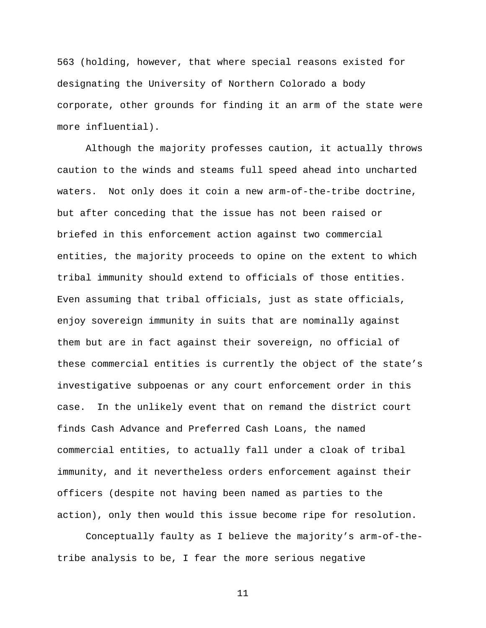563 (holding, however, that where special reasons existed for designating the University of Northern Colorado a body corporate, other grounds for finding it an arm of the state were more influential).

 Although the majority professes caution, it actually throws caution to the winds and steams full speed ahead into uncharted waters. Not only does it coin a new arm-of-the-tribe doctrine, but after conceding that the issue has not been raised or briefed in this enforcement action against two commercial entities, the majority proceeds to opine on the extent to which tribal immunity should extend to officials of those entities. Even assuming that tribal officials, just as state officials, enjoy sovereign immunity in suits that are nominally against them but are in fact against their sovereign, no official of these commercial entities is currently the object of the state's investigative subpoenas or any court enforcement order in this case. In the unlikely event that on remand the district court finds Cash Advance and Preferred Cash Loans, the named commercial entities, to actually fall under a cloak of tribal immunity, and it nevertheless orders enforcement against their officers (despite not having been named as parties to the action), only then would this issue become ripe for resolution.

 Conceptually faulty as I believe the majority's arm-of-thetribe analysis to be, I fear the more serious negative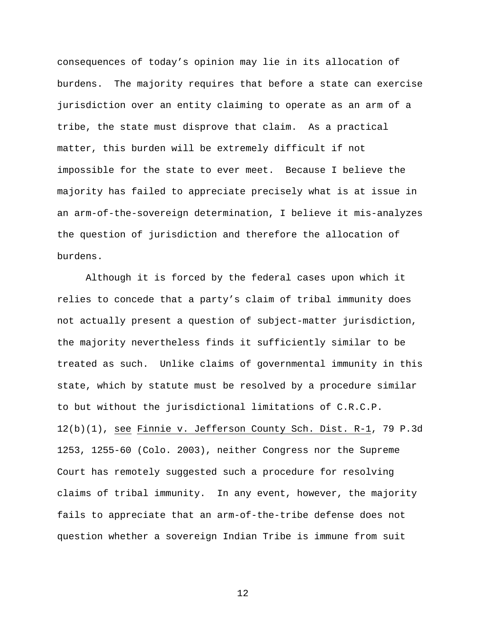consequences of today's opinion may lie in its allocation of burdens. The majority requires that before a state can exercise jurisdiction over an entity claiming to operate as an arm of a tribe, the state must disprove that claim. As a practical matter, this burden will be extremely difficult if not impossible for the state to ever meet. Because I believe the majority has failed to appreciate precisely what is at issue in an arm-of-the-sovereign determination, I believe it mis-analyzes the question of jurisdiction and therefore the allocation of burdens.

 Although it is forced by the federal cases upon which it relies to concede that a party's claim of tribal immunity does not actually present a question of subject-matter jurisdiction, the majority nevertheless finds it sufficiently similar to be treated as such. Unlike claims of governmental immunity in this state, which by statute must be resolved by a procedure similar to but without the jurisdictional limitations of C.R.C.P. 12(b)(1), see Finnie v. Jefferson County Sch. Dist. R-1, 79 P.3d 1253, 1255-60 (Colo. 2003), neither Congress nor the Supreme Court has remotely suggested such a procedure for resolving claims of tribal immunity. In any event, however, the majority fails to appreciate that an arm-of-the-tribe defense does not question whether a sovereign Indian Tribe is immune from suit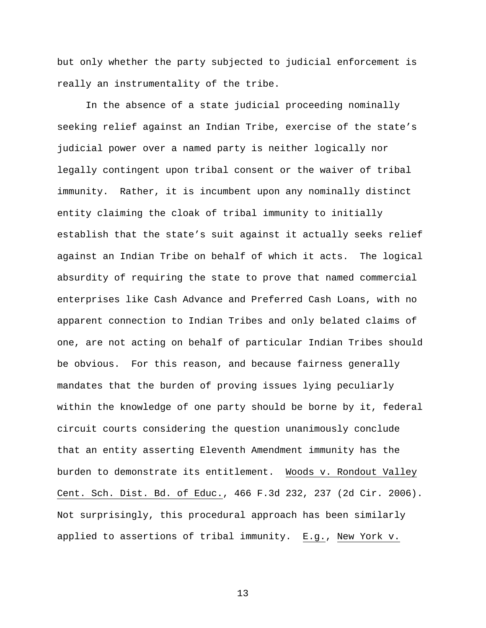but only whether the party subjected to judicial enforcement is really an instrumentality of the tribe.

 In the absence of a state judicial proceeding nominally seeking relief against an Indian Tribe, exercise of the state's judicial power over a named party is neither logically nor legally contingent upon tribal consent or the waiver of tribal immunity. Rather, it is incumbent upon any nominally distinct entity claiming the cloak of tribal immunity to initially establish that the state's suit against it actually seeks relief against an Indian Tribe on behalf of which it acts. The logical absurdity of requiring the state to prove that named commercial enterprises like Cash Advance and Preferred Cash Loans, with no apparent connection to Indian Tribes and only belated claims of one, are not acting on behalf of particular Indian Tribes should be obvious. For this reason, and because fairness generally mandates that the burden of proving issues lying peculiarly within the knowledge of one party should be borne by it, federal circuit courts considering the question unanimously conclude that an entity asserting Eleventh Amendment immunity has the burden to demonstrate its entitlement. Woods v. Rondout Valley Cent. Sch. Dist. Bd. of Educ., 466 F.3d 232, 237 (2d Cir. 2006). Not surprisingly, this procedural approach has been similarly applied to assertions of tribal immunity. E.g., New York v.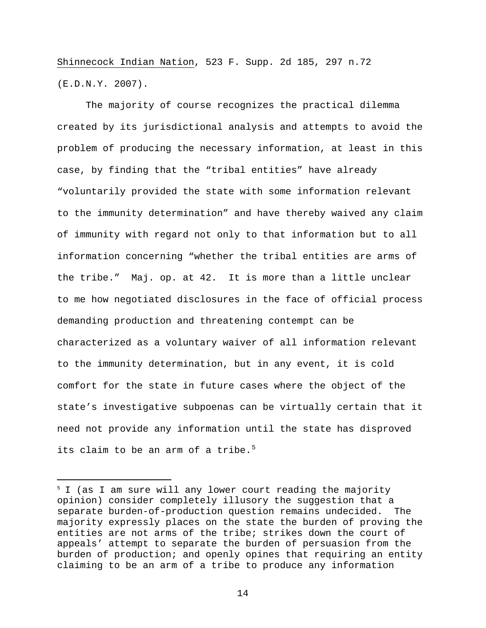Shinnecock Indian Nation, 523 F. Supp. 2d 185, 297 n.72 (E.D.N.Y. 2007).

 The majority of course recognizes the practical dilemma created by its jurisdictional analysis and attempts to avoid the problem of producing the necessary information, at least in this case, by finding that the "tribal entities" have already "voluntarily provided the state with some information relevant to the immunity determination" and have thereby waived any claim of immunity with regard not only to that information but to all information concerning "whether the tribal entities are arms of the tribe." Maj. op. at 42. It is more than a little unclear to me how negotiated disclosures in the face of official process demanding production and threatening contempt can be characterized as a voluntary waiver of all information relevant to the immunity determination, but in any event, it is cold comfort for the state in future cases where the object of the state's investigative subpoenas can be virtually certain that it need not provide any information until the state has disproved its claim to be an arm of a tribe.<sup>[5](#page-59-0)</sup>

i

<span id="page-59-0"></span><sup>&</sup>lt;sup>5</sup> I (as I am sure will any lower court reading the majority opinion) consider completely illusory the suggestion that a separate burden-of-production question remains undecided. The majority expressly places on the state the burden of proving the entities are not arms of the tribe; strikes down the court of appeals' attempt to separate the burden of persuasion from the burden of production; and openly opines that requiring an entity claiming to be an arm of a tribe to produce any information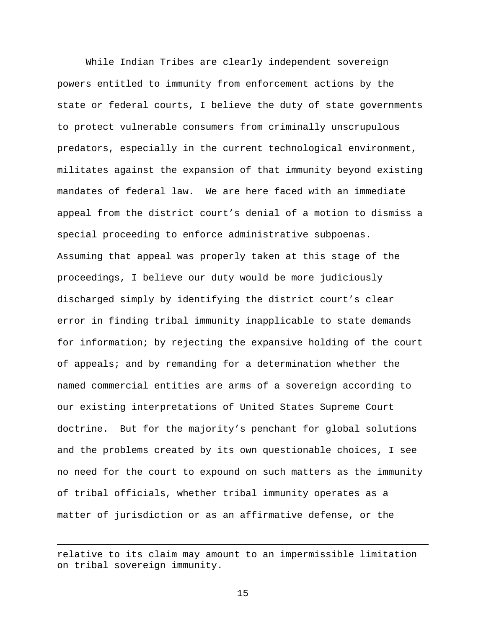While Indian Tribes are clearly independent sovereign powers entitled to immunity from enforcement actions by the state or federal courts, I believe the duty of state governments to protect vulnerable consumers from criminally unscrupulous predators, especially in the current technological environment, militates against the expansion of that immunity beyond existing mandates of federal law. We are here faced with an immediate appeal from the district court's denial of a motion to dismiss a special proceeding to enforce administrative subpoenas. Assuming that appeal was properly taken at this stage of the proceedings, I believe our duty would be more judiciously discharged simply by identifying the district court's clear error in finding tribal immunity inapplicable to state demands for information; by rejecting the expansive holding of the court of appeals; and by remanding for a determination whether the named commercial entities are arms of a sovereign according to our existing interpretations of United States Supreme Court doctrine. But for the majority's penchant for global solutions and the problems created by its own questionable choices, I see no need for the court to expound on such matters as the immunity of tribal officials, whether tribal immunity operates as a matter of jurisdiction or as an affirmative defense, or the

i<br>Li

relative to its claim may amount to an impermissible limitation on tribal sovereign immunity.